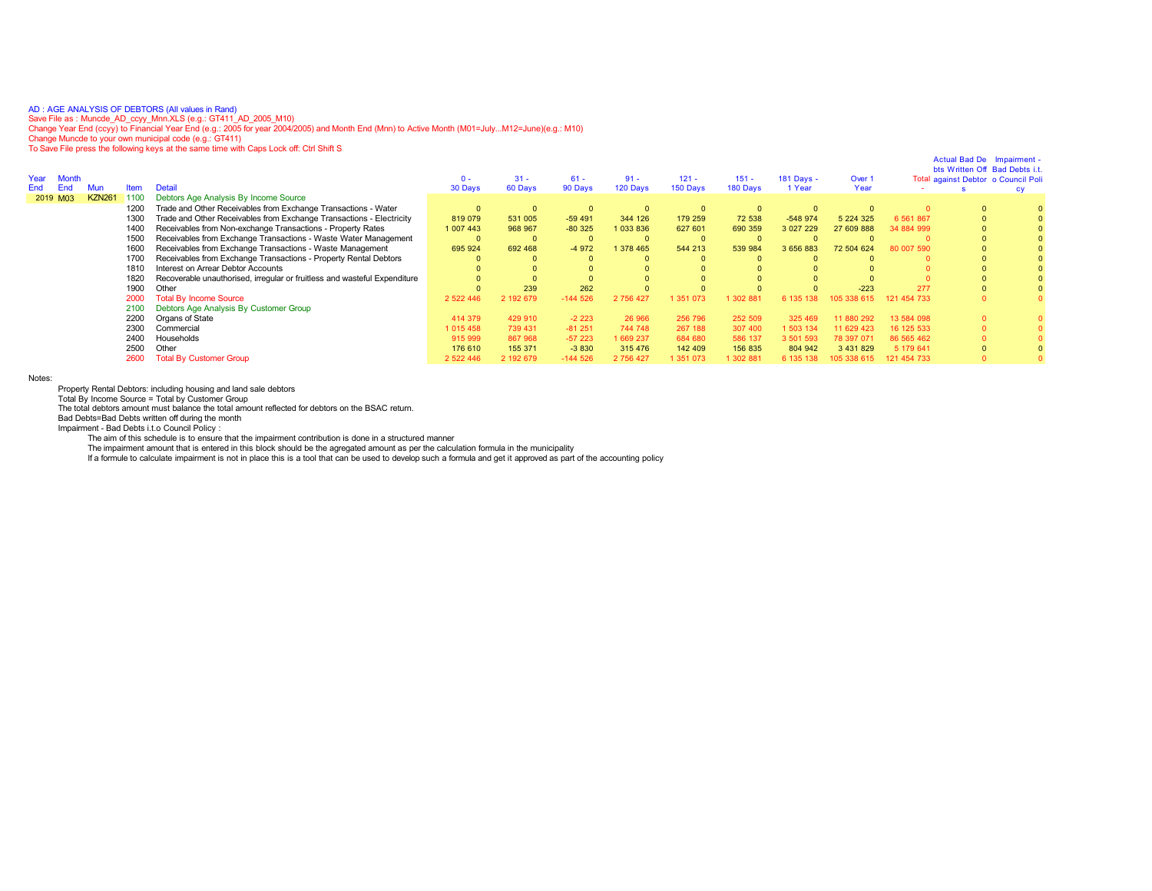AD:AGE ANALYSIS OF DEBTORS (All values in Rand)<br>Save File as : Muncde\_AD\_ccyy\_Mnn.XLS (e.g.: GT411\_AD\_2005\_M10)<br>Change Year End (ccyy) to Financial Year End (e.g.: 2005 for year 2004/2005) and Month End (Mnn) to Active Mon

To Save File press the following keys at the same time with Caps Lock off: Ctrl Shift S

|     |                                           |                                                                                                                                              | $0 -$                                                                                                                                                                                                                                           | $31 -$                        | $61 -$                        | $91 -$                         | $121 -$                        | $151 -$                        | 181 Days -                     | Over 1               |                       |           |                                                                                                     |
|-----|-------------------------------------------|----------------------------------------------------------------------------------------------------------------------------------------------|-------------------------------------------------------------------------------------------------------------------------------------------------------------------------------------------------------------------------------------------------|-------------------------------|-------------------------------|--------------------------------|--------------------------------|--------------------------------|--------------------------------|----------------------|-----------------------|-----------|-----------------------------------------------------------------------------------------------------|
| Mun |                                           |                                                                                                                                              |                                                                                                                                                                                                                                                 |                               |                               |                                |                                |                                | 1 Year                         |                      |                       |           |                                                                                                     |
|     |                                           |                                                                                                                                              |                                                                                                                                                                                                                                                 |                               |                               |                                |                                |                                |                                |                      |                       |           |                                                                                                     |
|     |                                           |                                                                                                                                              |                                                                                                                                                                                                                                                 |                               |                               |                                |                                |                                |                                |                      |                       |           |                                                                                                     |
|     |                                           | Trade and Other Receivables from Exchange Transactions - Electricity                                                                         | 819 079                                                                                                                                                                                                                                         | 531 005                       | $-59491$                      | 344 126                        | 179 259                        | 72 538                         | $-548974$                      | 5 2 2 4 3 2 5        | 6 5 6 1 8 6 7         |           |                                                                                                     |
|     |                                           | Receivables from Non-exchange Transactions - Property Rates                                                                                  | 1 007 443                                                                                                                                                                                                                                       | 968 967                       | $-80325$                      | 033836                         | 627 601                        | 690 359                        | 3 027 229                      | 27 609 888           | 34 884 999            |           |                                                                                                     |
|     |                                           | Receivables from Exchange Transactions - Waste Water Management                                                                              |                                                                                                                                                                                                                                                 | $\Omega$                      |                               | $\Omega$                       |                                |                                |                                |                      |                       |           |                                                                                                     |
|     |                                           | Receivables from Exchange Transactions - Waste Management                                                                                    | 695 924                                                                                                                                                                                                                                         | 692 468                       | $-4972$                       | 378 465                        | 544 213                        | 539 984                        | 3 656 883                      | 72 504 624           | 80 007 590            |           |                                                                                                     |
|     |                                           | Receivables from Exchange Transactions - Property Rental Debtors                                                                             |                                                                                                                                                                                                                                                 |                               |                               |                                |                                |                                |                                |                      |                       |           |                                                                                                     |
|     |                                           | Interest on Arrear Debtor Accounts                                                                                                           |                                                                                                                                                                                                                                                 |                               |                               |                                |                                |                                |                                |                      |                       |           |                                                                                                     |
|     |                                           |                                                                                                                                              |                                                                                                                                                                                                                                                 |                               |                               |                                |                                |                                |                                |                      |                       |           |                                                                                                     |
|     |                                           | Other                                                                                                                                        |                                                                                                                                                                                                                                                 | 239                           | 262                           |                                |                                |                                |                                | $-223$               | 277                   |           |                                                                                                     |
|     |                                           | <b>Total By Income Source</b>                                                                                                                | 2 522 446                                                                                                                                                                                                                                       | 2 192 679                     | $-144526$                     | 2 756 427                      | 351 073                        | 302 881                        | 6 135                          | 615                  | 454 733<br>121        |           |                                                                                                     |
|     |                                           | Debtors Age Analysis By Customer Group                                                                                                       |                                                                                                                                                                                                                                                 |                               |                               |                                |                                |                                |                                |                      |                       |           |                                                                                                     |
|     |                                           |                                                                                                                                              | 414 379                                                                                                                                                                                                                                         | 429 910                       | $-2223$                       | 26 966                         | 256 796                        | 252 509                        | 325 469                        | 11 880 292           | 13 584 098            |           |                                                                                                     |
|     |                                           | Commercial                                                                                                                                   | 1 015 458                                                                                                                                                                                                                                       | 739 431                       | $-81251$                      | 744 748                        | 267 188                        | 307 400                        | 1 503 134                      | 11 629 423           | 16 125 533            |           |                                                                                                     |
|     |                                           |                                                                                                                                              |                                                                                                                                                                                                                                                 |                               |                               |                                |                                |                                |                                | 78 397 07            | 86 565 462            |           |                                                                                                     |
|     |                                           |                                                                                                                                              |                                                                                                                                                                                                                                                 |                               |                               |                                |                                |                                |                                |                      |                       |           |                                                                                                     |
|     |                                           | <b>Total By Customer Group</b>                                                                                                               | 2 5 2 2 4 4 6                                                                                                                                                                                                                                   | 2 192 679                     | $-144526$                     | 2 756 427                      | 351 073                        | 302 881                        | 6 135 138                      | 105 338 615          | 121 454 733           |           |                                                                                                     |
|     | <b>Month</b><br><b>KZN261</b><br>2019 M03 | Item<br>1100<br>1200<br>1300<br>1400<br>1500<br>1600<br>1700<br>1810<br>1820<br>1900<br>2000<br>2100<br>2200<br>2300<br>2400<br>2500<br>2600 | <b>Detail</b><br>Debtors Age Analysis By Income Source<br>Trade and Other Receivables from Exchange Transactions - Water<br>Recoverable unauthorised, irregular or fruitless and wasteful Expenditure<br>Organs of State<br>Households<br>Other | 30 Days<br>915 999<br>176 610 | 60 Days<br>867 968<br>155 371 | 90 Days<br>$-57223$<br>$-3830$ | 120 Days<br>1669237<br>315 476 | 150 Days<br>684 680<br>142 409 | 180 Days<br>586 137<br>156 835 | 3 501 593<br>804 942 | Year<br>3 4 3 1 8 2 9 | 5 179 641 | Actual Bad De Impairment -<br>bts Written Off Bad Debts i.t.<br>Total against Debtor o Council Poli |

Notes:

Property Rental Debtors: including housing and land sale debtors Total By Income Source = Total by Customer Group

The total debtors amount must balance the total amount reflected for debtors on the BSAC return.

Bad Debts=Bad Debts written off during the month

Impairment - Bad Debts i.t.o Council Policy :

The aim of this schedule is to ensure that the impairment contribution is done in a structured manner

The impairment amount that is entered in this block should be the agregated amount as per the calculation formula in the municipality<br>If a formule to calculate impairment is not in place this is a tool that can be used to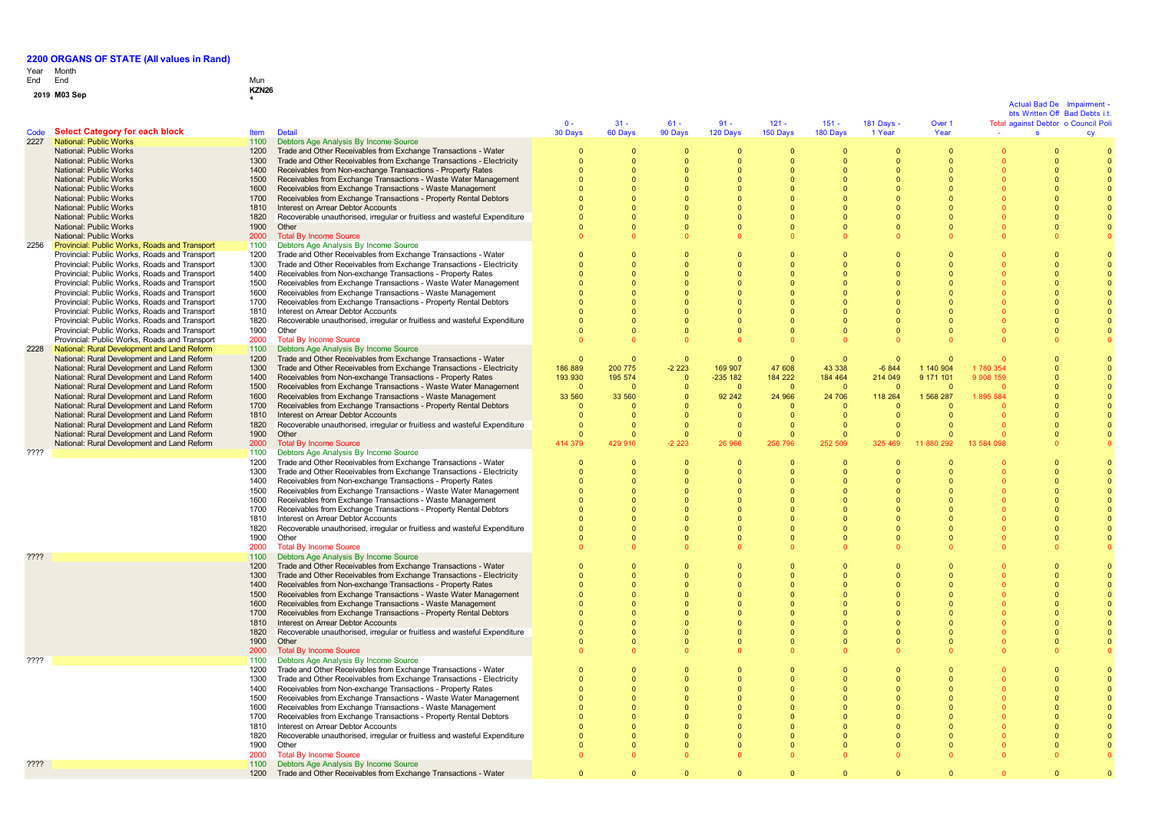# Year End Month End Mun

| w | ---          | <u></u>      |
|---|--------------|--------------|
|   | 2019 M03 Sep | <b>KZN26</b> |
|   |              |              |
|   |              |              |

|      |                                                                                                |              |                                                                                                                                     |              |                            |                |                      |                      |          |                      |                              |            | Actual Bad De<br>bts Written Off Bad Debts i.t. | <b>Imnairment</b>              |
|------|------------------------------------------------------------------------------------------------|--------------|-------------------------------------------------------------------------------------------------------------------------------------|--------------|----------------------------|----------------|----------------------|----------------------|----------|----------------------|------------------------------|------------|-------------------------------------------------|--------------------------------|
|      |                                                                                                |              |                                                                                                                                     | $0 -$        | $31 -$                     | $61 -$         | $91 -$               | $121 -$              | $151 -$  | 181 Days -           | Over 1                       |            | Total against Debtor o Council Poli             |                                |
| Code | <b>Select Category for each block</b>                                                          | <b>Item</b>  | Detail                                                                                                                              | 30 Days      | 60 Days                    | 90 Days        | 120 Days             | 150 Days             | 180 Days | 1 Year               | Year                         |            | $\mathbf{s}$                                    | cy                             |
| 2227 | National: Public Works                                                                         | 1100         | Debtors Age Analysis By Income Source                                                                                               |              |                            |                |                      |                      |          |                      |                              |            |                                                 |                                |
|      | National: Public Works                                                                         | 1200         | Trade and Other Receivables from Exchange Transactions - Water                                                                      |              | 0                          | 0              | $\mathbf 0$          | $\mathbf 0$          |          |                      | $\mathbf{0}$                 |            | $\mathbf 0$                                     |                                |
|      | National: Public Works                                                                         | 1300         | Trade and Other Receivables from Exchange Transactions - Electricity                                                                |              | $\Omega$                   | $\Omega$       | $\Omega$             | $\overline{0}$       |          | $\Omega$             | $\Omega$                     |            | $\Omega$                                        |                                |
|      | National: Public Works                                                                         | 1400         | Receivables from Non-exchange Transactions - Property Rates                                                                         |              | $\Omega$                   |                | $\Omega$             | $\Omega$             |          | $\Omega$             | $\Omega$                     |            |                                                 |                                |
|      | National: Public Works                                                                         | 1500         | Receivables from Exchange Transactions - Waste Water Management                                                                     | $\Omega$     | $\Omega$                   |                | $\Omega$             | $\Omega$             |          | $\Omega$             | $\Omega$                     |            |                                                 |                                |
|      | National: Public Works                                                                         | 1600         | Receivables from Exchange Transactions - Waste Management                                                                           | $\Omega$     | $\Omega$                   |                | $\Omega$             | $\Omega$             |          | $\Omega$             | $\Omega$                     |            |                                                 |                                |
|      | National: Public Works                                                                         | 1700         | Receivables from Exchange Transactions - Property Rental Debtors                                                                    | $\Omega$     | $\Omega$                   |                | $\Omega$             | $\Omega$             |          | $\Omega$             | $\Omega$                     |            |                                                 |                                |
|      | National: Public Works                                                                         | 1810         | Interest on Arrear Debtor Accounts                                                                                                  |              | $\Omega$                   |                | $\Omega$             | $\Omega$             |          | $\Omega$             | $\Omega$                     |            |                                                 |                                |
|      | National: Public Works                                                                         | 1820         | Recoverable unauthorised, irregular or fruitless and wasteful Expenditure                                                           |              | $\Omega$                   |                | $\Omega$             | $\Omega$             |          | $\Omega$             | $\Omega$                     |            |                                                 |                                |
|      | National: Public Works                                                                         | 1900         | Other                                                                                                                               |              | $\Omega$                   |                | $\Omega$             | $\Omega$             |          | $\Omega$             | $\Omega$                     |            |                                                 |                                |
|      | National: Public Works                                                                         | 2000         | <b>Total By Income Source</b>                                                                                                       |              |                            |                |                      |                      |          | $\Omega$             |                              |            |                                                 |                                |
| 2256 | <b>Provincial: Public Works, Roads and Transport</b>                                           | 1100         | Debtors Age Analysis By Income Source                                                                                               | $\Omega$     |                            |                |                      | $\Omega$             |          |                      |                              |            |                                                 |                                |
|      | Provincial: Public Works, Roads and Transport                                                  | 1200         | Trade and Other Receivables from Exchange Transactions - Water                                                                      |              | $\Omega$                   | $\Omega$       | $\Omega$<br>$\Omega$ | $\Omega$             |          | $\Omega$<br>$\Omega$ | $\Omega$<br>$\Omega$         |            |                                                 | $\overline{0}$<br>$\mathbf{0}$ |
|      | Provincial: Public Works, Roads and Transport<br>Provincial: Public Works, Roads and Transport | 1300<br>1400 | Trade and Other Receivables from Exchange Transactions - Electricity<br>Receivables from Non-exchange Transactions - Property Rates |              | $\Omega$<br>$\Omega$       |                | $\Omega$             | $\Omega$             |          | $\Omega$             | $\Omega$                     |            |                                                 | $\overline{0}$                 |
|      | Provincial: Public Works, Roads and Transport                                                  | 1500         | Receivables from Exchange Transactions - Waste Water Management                                                                     |              | $\Omega$                   |                | $\Omega$             | $\Omega$             |          | $\Omega$             |                              |            |                                                 | $\mathbf{0}$                   |
|      |                                                                                                | 1600         | Receivables from Exchange Transactions - Waste Management                                                                           |              |                            |                | $\Omega$             | $\Omega$             |          | $\Omega$             |                              |            |                                                 | $\mathbf{0}$                   |
|      | Provincial: Public Works, Roads and Transport<br>Provincial: Public Works, Roads and Transport | 1700         | Receivables from Exchange Transactions - Property Rental Debtors                                                                    |              | $\Omega$                   |                | $\Omega$             | $\Omega$             |          | $\Omega$             |                              |            |                                                 | $\overline{0}$                 |
|      | Provincial: Public Works, Roads and Transport                                                  | 1810         | Interest on Arrear Debtor Accounts                                                                                                  |              | $\Omega$                   |                | $\Omega$             | $\Omega$             |          | $\Omega$             |                              |            |                                                 | $\overline{0}$                 |
|      | Provincial: Public Works, Roads and Transport                                                  | 1820         | Recoverable unauthorised, irregular or fruitless and wasteful Expenditure                                                           | $\Omega$     | $\Omega$                   | $\Omega$       | $\Omega$             | $\Omega$             |          | $\Omega$             | $\Omega$                     |            |                                                 | $\Omega$                       |
|      | Provincial: Public Works, Roads and Transport                                                  | 1900         | Other                                                                                                                               | $\Omega$     | $\Omega$                   | $\Omega$       | $\Omega$             | $\overline{0}$       | $\cap$   | $\Omega$             | $\Omega$                     |            |                                                 | $\overline{0}$                 |
|      | Provincial: Public Works, Roads and Transport                                                  | 2000         | <b>Total By Income Source</b>                                                                                                       | $\Omega$     |                            |                | $\Omega$             |                      |          | $\Omega$             |                              |            |                                                 |                                |
| 2228 | National: Rural Development and Land Reform                                                    | 1100         | Debtors Age Analysis By Income Source                                                                                               |              |                            |                |                      |                      |          |                      |                              |            |                                                 |                                |
|      | National: Rural Development and Land Reform                                                    | 1200         | Trade and Other Receivables from Exchange Transactions - Water                                                                      | $\Omega$     | $\overline{0}$             | $\overline{0}$ | $\mathbf{0}$         | $\overline{0}$       | $\Omega$ | $\Omega$             | $\Omega$                     |            |                                                 |                                |
|      | National: Rural Development and Land Reform                                                    | 1300         | Trade and Other Receivables from Exchange Transactions - Electricity                                                                | 186 889      | 200 775                    | $-2223$        | 169 907              | 47 608               | 43 338   | $-6844$              | 1 140 904                    | 1 780 354  |                                                 |                                |
|      | National: Rural Development and Land Reform                                                    | 1400         | Receivables from Non-exchange Transactions - Property Rates                                                                         | 193 930      | 195 574                    | $\Omega$       | $-235$ 182           | 184 222              | 184 464  | 214 049              | 9 171 101                    | 9 908 159  |                                                 | $\Omega$                       |
|      | National: Rural Development and Land Reform                                                    | 1500         | Receivables from Exchange Transactions - Waste Water Management                                                                     | $\Omega$     | $\Omega$                   | $\Omega$       | $\Omega$             | $\overline{0}$       | $\Omega$ | $\Omega$             | $\Omega$                     |            |                                                 | $\mathbf{0}$                   |
|      | National: Rural Development and Land Reform                                                    | 1600         | Receivables from Exchange Transactions - Waste Management                                                                           | 33 560       | 33 560                     | $\Omega$       | 92 24 2              | 24 966               | 24 706   | 118 264              | 1 568 287                    | 1895 584   |                                                 | $\mathbf{0}$                   |
|      | National: Rural Development and Land Reform                                                    | 1700         | Receivables from Exchange Transactions - Property Rental Debtors                                                                    | $\Omega$     | $\Omega$                   |                | $\mathbf{0}$         | - 0                  | $\Omega$ | $\Omega$             | $\Omega$                     |            |                                                 | $\mathbf{0}$                   |
|      | National: Rural Development and Land Reform                                                    | 1810         | Interest on Arrear Debtor Accounts                                                                                                  | $\mathbf{0}$ | 0                          |                | $\mathbf{0}$         | - 0                  | - 0      | $\mathbf{0}$         | $\mathbf{0}$                 |            |                                                 |                                |
|      | National: Rural Development and Land Reform                                                    | 1820         | Recoverable unauthorised, irregular or fruitless and wasteful Expenditure                                                           | $\Omega$     | $\Omega$                   | $\Omega$       | $\Omega$             | $\overline{0}$       |          | $\Omega$             | $\Omega$                     |            |                                                 |                                |
|      | National: Rural Development and Land Reform                                                    | 1900         | Other                                                                                                                               |              | $\Omega$                   | $\Omega$       | $\Omega$             | $\overline{0}$       | $\Omega$ | $\Omega$             |                              |            |                                                 |                                |
|      | National: Rural Development and Land Reform                                                    | 2000         | <b>Total By Income Source</b>                                                                                                       | 414 379      | 429 910                    | $-223$         | 26 966               | 256 796              | 252 509  | 325 469              | 11 880 292                   | 13 584 098 |                                                 |                                |
| ???? |                                                                                                | 1100         | Debtors Age Analysis By Income Source                                                                                               |              |                            |                |                      |                      |          |                      |                              |            |                                                 |                                |
|      |                                                                                                | 1200         | Trade and Other Receivables from Exchange Transactions - Water                                                                      | $\Omega$     | $\Omega$                   | $\Omega$       | $\Omega$             | $\overline{0}$       | $\Omega$ | $\Omega$             | $\Omega$                     |            |                                                 |                                |
|      |                                                                                                | 1300         | Trade and Other Receivables from Exchange Transactions - Electricity                                                                |              | $\Omega$                   | $\Omega$       | $\Omega$             | $\Omega$             |          | $\Omega$             | $\Omega$                     |            |                                                 | $\overline{0}$                 |
|      |                                                                                                | 1400         | Receivables from Non-exchange Transactions - Property Rates                                                                         | $\Omega$     | $\Omega$                   |                | $\Omega$             | $\Omega$             |          | $\Omega$             | $\Omega$                     |            |                                                 |                                |
|      |                                                                                                | 1500         | Receivables from Exchange Transactions - Waste Water Management                                                                     | $\Omega$     | $\Omega$                   |                | $\Omega$             | $\Omega$             |          | $\Omega$             | $\Omega$                     |            |                                                 |                                |
|      |                                                                                                | 1600         | Receivables from Exchange Transactions - Waste Management                                                                           |              |                            |                |                      |                      |          | $\Omega$             |                              |            |                                                 |                                |
|      |                                                                                                | 1700         | Receivables from Exchange Transactions - Property Rental Debtors                                                                    |              |                            |                |                      |                      |          | $\Omega$             |                              |            |                                                 |                                |
|      |                                                                                                | 1810         | Interest on Arrear Debtor Accounts                                                                                                  |              | $\Omega$                   |                | $\Omega$             | $\Omega$             |          | $\Omega$             |                              |            |                                                 |                                |
|      |                                                                                                | 1820         | Recoverable unauthorised, irregular or fruitless and wasteful Expenditure                                                           |              | $\Omega$                   | $\Omega$       | $\Omega$             | $\Omega$             |          | $\Omega$             | $\Omega$                     |            |                                                 | $\mathbf{0}$                   |
|      |                                                                                                | 1900         | Other                                                                                                                               |              | $\Omega$                   | $\Omega$       | $\Omega$             | $\Omega$             |          | $\Omega$             | $\Omega$                     |            |                                                 | $\Omega$                       |
|      |                                                                                                | 2000         | <b>Total By Income Source</b>                                                                                                       |              |                            |                |                      |                      |          | $\Omega$             |                              |            |                                                 |                                |
| ???? |                                                                                                | 1100         | Debtors Age Analysis By Income Source                                                                                               |              |                            |                |                      |                      |          |                      |                              |            |                                                 |                                |
|      |                                                                                                | 1200         | Trade and Other Receivables from Exchange Transactions - Water                                                                      |              | $\Omega$                   | $\Omega$       | $\mathbf{0}$         | $\overline{0}$       |          | $\overline{0}$       |                              |            |                                                 |                                |
|      |                                                                                                | 1300         | Trade and Other Receivables from Exchange Transactions - Electricity                                                                |              | $\Omega$                   |                | $\Omega$             | $\Omega$             |          | $\Omega$             |                              |            |                                                 | $\overline{0}$                 |
|      |                                                                                                | 1400         | Receivables from Non-exchange Transactions - Property Rates                                                                         |              | $\Omega$                   |                | $\Omega$             | $\Omega$             |          | $\Omega$             | $\Omega$                     |            |                                                 | $\Omega$                       |
|      |                                                                                                | 1500         | Receivables from Exchange Transactions - Waste Water Management                                                                     | $\Omega$     | $\Omega$                   | $\Omega$       | $\Omega$             | $\Omega$             |          | $\Omega$             | $\Omega$                     |            |                                                 | $\overline{0}$                 |
|      |                                                                                                | 1600         | Receivables from Exchange Transactions - Waste Management                                                                           | $\Omega$     | $\Omega$                   | $\Omega$       | $\Omega$             | $\Omega$             |          | $\Omega$             | $\Omega$                     |            |                                                 | $\overline{0}$                 |
|      |                                                                                                | 1700         | Receivables from Exchange Transactions - Property Rental Debtors                                                                    | $\Omega$     | $\Omega$                   | $\Omega$       | $\Omega$             | $\Omega$             |          | $\Omega$             | $\Omega$                     |            |                                                 | $\overline{0}$                 |
|      |                                                                                                | 1810         | Interest on Arrear Debtor Accounts                                                                                                  |              | $\Omega$<br>$\Omega$       | $\Omega$       | $\Omega$             | $\overline{0}$       |          | $\Omega$             | $\Omega$                     |            |                                                 |                                |
|      |                                                                                                | 1820<br>1900 | Recoverable unauthorised, irregular or fruitless and wasteful Expenditure<br>Other                                                  |              | $\Omega$                   |                | $\Omega$<br>$\Omega$ | $\Omega$<br>$\Omega$ |          | $\Omega$<br>$\Omega$ | $\Omega$<br>$\Omega$         |            |                                                 |                                |
|      |                                                                                                | 2000         | <b>Total By Income Source</b>                                                                                                       |              | $\Omega$                   |                | $\Omega$             | $\Omega$             |          | $\Omega$             | $\Omega$                     |            |                                                 |                                |
| ???? |                                                                                                | 1100         | Debtors Age Analysis By Income Source                                                                                               |              |                            |                |                      |                      |          |                      |                              |            |                                                 |                                |
|      |                                                                                                | 1200         | Trade and Other Receivables from Exchange Transactions - Water                                                                      | $\Omega$     |                            | $\Omega$       | $\Omega$             | $\overline{0}$       |          | $\overline{0}$       |                              |            | $\Omega$                                        |                                |
|      |                                                                                                | 1300         | Trade and Other Receivables from Exchange Transactions - Electricity                                                                | $\Omega$     | $\mathbf 0$<br>$\mathbf 0$ | $\Omega$       | $\Omega$             | $\mathbf 0$          |          | $\mathbf 0$          | $\mathbf{0}$<br>$\mathbf{0}$ |            | $\Omega$                                        | $\overline{0}$                 |
|      |                                                                                                | 1400         | Receivables from Non-exchange Transactions - Property Rates                                                                         |              | $\Omega$                   |                | $\Omega$             | $\Omega$             |          | $\Omega$             | $\Omega$                     |            |                                                 |                                |
|      |                                                                                                | 1500         | Receivables from Exchange Transactions - Waste Water Management                                                                     |              | $\Omega$                   |                | $\Omega$             | $\Omega$             |          | $\Omega$             |                              |            |                                                 |                                |
|      |                                                                                                | 1600         | Receivables from Exchange Transactions - Waste Management                                                                           |              | $\Omega$                   |                |                      |                      |          | $\Omega$             |                              |            |                                                 |                                |
|      |                                                                                                | 1700         | Receivables from Exchange Transactions - Property Rental Debtors                                                                    | $\Omega$     | $\Omega$                   |                | $\Omega$             | $\Omega$             |          | $\Omega$             | $\Omega$                     |            |                                                 | $\Omega$                       |
|      |                                                                                                | 1810         | Interest on Arrear Debtor Accounts                                                                                                  | $\Omega$     | $\Omega$                   |                | $\Omega$             | $\Omega$             |          | $\Omega$             | $\Omega$                     |            |                                                 |                                |
|      |                                                                                                | 1820         | Recoverable unauthorised, irregular or fruitless and wasteful Expenditure                                                           | $\Omega$     | $\Omega$                   | $\Omega$       | $\Omega$             | $\Omega$             |          | $\Omega$             | $\Omega$                     |            |                                                 |                                |
|      |                                                                                                | 1900         | Other                                                                                                                               | $\Omega$     | $\Omega$                   |                | $\Omega$             | $\Omega$             |          | $\Omega$             | $\Omega$                     |            |                                                 |                                |
|      |                                                                                                | 2000         | <b>Total By Income Source</b>                                                                                                       |              |                            |                |                      |                      |          |                      |                              |            |                                                 |                                |
| ???? |                                                                                                | 1100         | Debtors Age Analysis By Income Source                                                                                               |              |                            |                |                      |                      |          |                      |                              |            |                                                 |                                |
|      |                                                                                                | 1200         | Trade and Other Receivables from Exchange Transactions - Water                                                                      |              |                            |                | $\Omega$             |                      |          | $\Omega$             |                              |            |                                                 |                                |
|      |                                                                                                |              |                                                                                                                                     |              |                            |                |                      |                      |          |                      |                              |            |                                                 |                                |

## -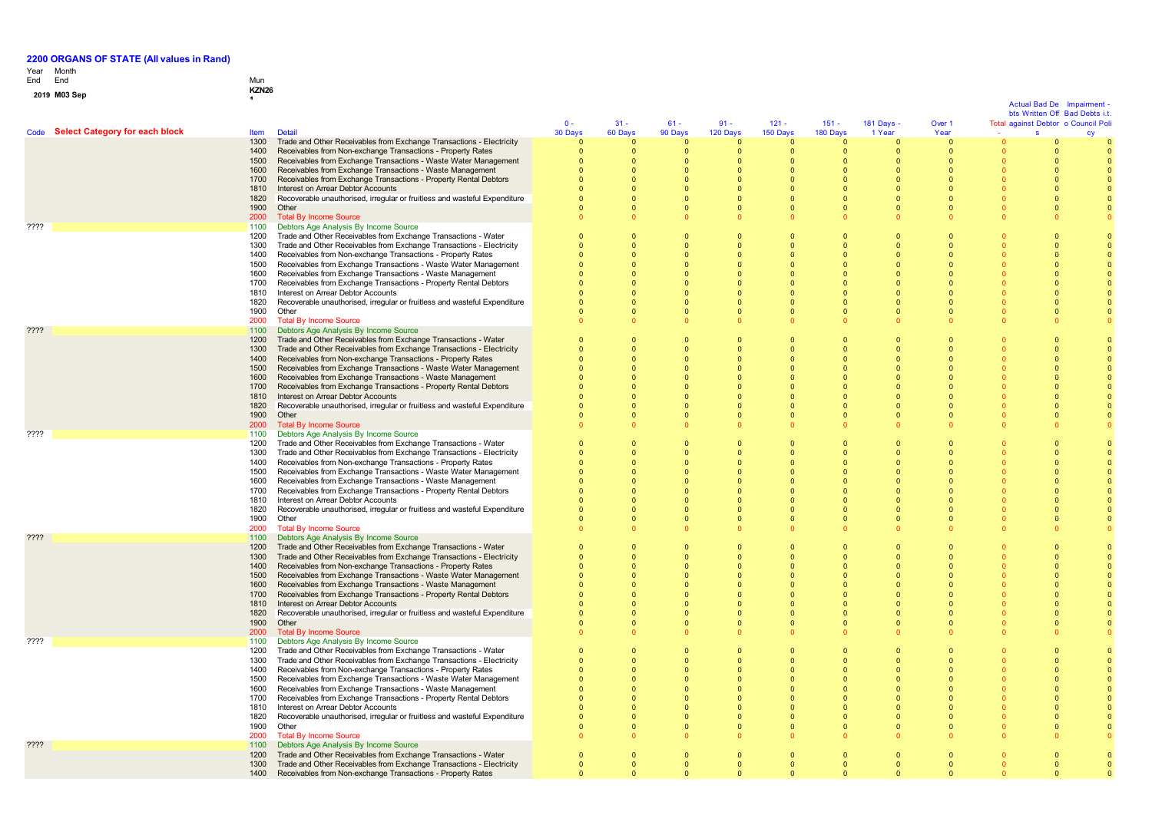# Year End Month End Mun

# **0 1 <sup>9</sup> M03 Sep KZN26 <sup>1</sup>**

|                                     |              |                                                                                                                                        |                          |                              |                            |                      |                          |                            |                            |                            | <b>Actual Bad De</b>    | Impairment<br>bts Written Off Bad Debts i.t. |
|-------------------------------------|--------------|----------------------------------------------------------------------------------------------------------------------------------------|--------------------------|------------------------------|----------------------------|----------------------|--------------------------|----------------------------|----------------------------|----------------------------|-------------------------|----------------------------------------------|
|                                     |              |                                                                                                                                        | $0 -$                    | $31 -$                       | $61 -$                     | $91 -$               | $121 -$                  | $151 -$                    | 181 Days -                 | Over 1                     |                         | Total against Debtor o Council Poli          |
| Code Select Category for each block | <b>Item</b>  | <b>Detail</b>                                                                                                                          | 30 Days                  | 60 Days                      | 90 Days                    | 120 Days             | 150 Days                 | 180 Days                   | 1 Year                     | Year                       | s                       |                                              |
|                                     | 1300         | Trade and Other Receivables from Exchange Transactions - Electricity                                                                   | $\Omega$                 | $\Omega$                     | $\Omega$                   | $\Omega$             | $\Omega$                 | $\Omega$                   | $\Omega$                   | $\mathbf{0}$               |                         |                                              |
|                                     | 1400<br>1500 | Receivables from Non-exchange Transactions - Property Rates                                                                            | $\mathbf{0}$<br>$\Omega$ | $\mathbf{0}$<br>$\Omega$     | $\overline{0}$<br>$\Omega$ | 0<br>$\Omega$        | $\mathbf{0}$<br>$\Omega$ | $\overline{0}$<br>$\Omega$ | $\mathbf{0}$<br>$\Omega$   | $\mathbf{0}$<br>$\Omega$   | $\mathbf 0$<br>$\Omega$ |                                              |
|                                     | 1600         | Receivables from Exchange Transactions - Waste Water Management<br>Receivables from Exchange Transactions - Waste Management           | $\Omega$                 | $\Omega$                     | $\Omega$                   | $\Omega$             | $\Omega$                 | $\Omega$                   | $\Omega$                   | $\Omega$                   | $\Omega$                |                                              |
|                                     | 1700         | Receivables from Exchange Transactions - Property Rental Debtors                                                                       |                          | $\Omega$                     | $\Omega$                   |                      | $\Omega$                 | $\Omega$                   | $\sqrt{ }$                 | $\Omega$                   | $\Omega$                |                                              |
|                                     | 1810         | Interest on Arrear Debtor Accounts                                                                                                     |                          | $\Omega$                     | $\Omega$                   |                      | $\Omega$                 | $\Omega$                   | $\Omega$                   | $\Omega$                   | $\Omega$                |                                              |
|                                     | 1820         | Recoverable unauthorised, irregular or fruitless and wasteful Expenditure                                                              |                          | $\mathbf{0}$                 | $\Omega$                   |                      |                          | $\mathbf{0}$               | $\Omega$                   | $\Omega$                   | $\Omega$                |                                              |
|                                     | 1900         | Other                                                                                                                                  | $\Omega$                 | $\Omega$                     | $\Omega$                   | $\Omega$             |                          | $\Omega$                   | $\Omega$                   | $\Omega$                   | $\Omega$                |                                              |
|                                     | 2000         | <b>Total By Income Source</b>                                                                                                          | $\Omega$                 | $\Omega$                     |                            |                      |                          | $\Omega$                   | $\Omega$                   |                            | $\Omega$                |                                              |
| ????                                | 1100<br>1200 | Debtors Age Analysis By Income Source<br>Trade and Other Receivables from Exchange Transactions - Water                                | $\Omega$                 | $\Omega$                     | $\Omega$                   | $\Omega$             | $\Omega$                 | $\Omega$                   | $\Omega$                   | $\Omega$                   | $\Omega$                |                                              |
|                                     | 1300         | Trade and Other Receivables from Exchange Transactions - Electricity                                                                   | $\Omega$                 | $\mathbf{0}$                 | $\Omega$                   | $\Omega$             | $\Omega$                 | $\mathbf{0}$               | $\Omega$                   | $\Omega$                   | $\Omega$                |                                              |
|                                     | 1400         | Receivables from Non-exchange Transactions - Property Rates                                                                            | $\Omega$                 | $\Omega$                     | $\Omega$                   | $\Omega$             | $\Omega$                 | $\Omega$                   | $\Omega$                   | $\Omega$                   | $\Omega$                |                                              |
|                                     | 1500         | Receivables from Exchange Transactions - Waste Water Management                                                                        | $\Omega$                 | $\Omega$                     | $\Omega$                   | $\Omega$             | $\Omega$                 | $\Omega$                   | $\Omega$                   | $\Omega$                   | $\Omega$                |                                              |
|                                     | 1600         | Receivables from Exchange Transactions - Waste Management                                                                              | $\Omega$                 | $\Omega$                     | $\Omega$                   | $\Omega$             | $\Omega$                 | $\overline{0}$             | $\Omega$                   | $\Omega$                   | $\Omega$                | $\Omega$                                     |
|                                     | 1700         | Receivables from Exchange Transactions - Property Rental Debtors<br>Interest on Arrear Debtor Accounts                                 | $\Omega$<br>$\Omega$     | $\Omega$<br>$\Omega$         | $\Omega$<br>$\Omega$       | $\Omega$<br>$\Omega$ | $\Omega$<br>$\Omega$     | $\Omega$<br>$\Omega$       | $\sqrt{2}$<br>$\Omega$     | $\sqrt{ }$<br>$\Omega$     | $\Omega$<br>$\Omega$    |                                              |
|                                     | 1810<br>1820 | Recoverable unauthorised, irregular or fruitless and wasteful Expenditure                                                              |                          | $\Omega$                     | $\Omega$                   |                      |                          | $\mathbf{0}$               | $\Omega$                   | $\Omega$                   | $\Omega$                |                                              |
|                                     | 1900         | Other                                                                                                                                  | $\Omega$                 | $\mathbf{0}$                 | $\overline{0}$             | $\Omega$             | $\Omega$                 | $\mathbf{0}$               | $\overline{0}$             | $\overline{0}$             | $\overline{0}$          |                                              |
|                                     | 2000         | <b>Total By Income Source</b>                                                                                                          | $\Omega$                 | $\Omega$                     | $\Omega$                   |                      |                          | $\Omega$                   | $\Omega$                   | $\Omega$                   | $\Omega$                |                                              |
| $??\mathsf{??}$                     | 1100         | Debtors Age Analysis By Income Source                                                                                                  |                          |                              |                            |                      |                          |                            |                            |                            |                         |                                              |
|                                     | 1200         | Trade and Other Receivables from Exchange Transactions - Water                                                                         | $\Omega$                 | $\Omega$                     | $\Omega$                   | $\Omega$             | $\Omega$                 | $\Omega$                   | $\Omega$                   | $\Omega$                   | $\Omega$                |                                              |
|                                     | 1300         | Trade and Other Receivables from Exchange Transactions - Electricity                                                                   |                          | $\Omega$                     | $\Omega$                   |                      |                          | $\Omega$                   | $\Omega$                   | $\Omega$                   | $\Omega$                |                                              |
|                                     | 1400<br>1500 | Receivables from Non-exchange Transactions - Property Rates<br>Receivables from Exchange Transactions - Waste Water Management         |                          | $\Omega$<br>$\Omega$         | $\Omega$<br>$\Omega$       | $\Omega$             | $\Omega$                 | $\Omega$<br>$\Omega$       | $\Omega$<br>$\Omega$       | $\Omega$<br>$\Omega$       | $\Omega$<br>$\Omega$    |                                              |
|                                     | 1600         | Receivables from Exchange Transactions - Waste Management                                                                              |                          | $\Omega$                     | $\Omega$                   | $\Omega$             | $\Omega$                 | $\Omega$                   | $\Omega$                   | $\Omega$                   | $\Omega$                |                                              |
|                                     | 1700         | Receivables from Exchange Transactions - Property Rental Debtors                                                                       |                          | $\Omega$                     | $\Omega$                   |                      |                          | $\Omega$                   | $\Omega$                   | $\Omega$                   | $\Omega$                |                                              |
|                                     | 1810         | Interest on Arrear Debtor Accounts                                                                                                     |                          | $\Omega$                     | $\Omega$                   |                      |                          | $\Omega$                   | $\Omega$                   | $\Omega$                   | $\Omega$                |                                              |
|                                     | 1820         | Recoverable unauthorised, irregular or fruitless and wasteful Expenditure                                                              |                          | $\Omega$                     | $\Omega$                   |                      |                          | $\Omega$                   | $\Omega$                   | $\Omega$                   |                         |                                              |
|                                     | 1900         | Other                                                                                                                                  |                          | $\Omega$                     | $\Omega$                   |                      |                          | $\mathbf{0}$               | $\Omega$                   | $\Omega$                   | $\Omega$                |                                              |
| ????                                | 2000<br>1100 | <b>Total By Income Source</b><br>Debtors Age Analysis By Income Source                                                                 | $\Omega$                 | $\Omega$                     | $\Omega$                   |                      |                          | $\Omega$                   | $\Omega$                   |                            |                         |                                              |
|                                     | 1200         | Trade and Other Receivables from Exchange Transactions - Water                                                                         | $\Omega$                 | $\mathbf{0}$                 | $\Omega$                   | $\Omega$             | $\Omega$                 | $\mathbf{0}$               | $\overline{0}$             | $\Omega$                   | $\Omega$                |                                              |
|                                     | 1300         | Trade and Other Receivables from Exchange Transactions - Electricity                                                                   |                          | $\Omega$                     | $\Omega$                   |                      |                          | $\Omega$                   | $\Omega$                   | $\Omega$                   | $\Omega$                |                                              |
|                                     | 1400         | Receivables from Non-exchange Transactions - Property Rates                                                                            | $\Omega$                 | $\Omega$                     | $\Omega$                   | $\Omega$             |                          | $\Omega$                   | $\Omega$                   | $\Omega$                   | $\Omega$                |                                              |
|                                     | 1500         | Receivables from Exchange Transactions - Waste Water Management                                                                        | $\Omega$                 | $\Omega$                     | $\Omega$                   | $\Omega$             | $\Omega$                 | $\Omega$                   | $\Omega$                   | $\Omega$                   | $\Omega$                |                                              |
|                                     | 1600         | Receivables from Exchange Transactions - Waste Management                                                                              | $\Omega$                 | $\Omega$                     | $\Omega$                   | $\Omega$             | $\Omega$                 | $\Omega$                   | $\Omega$                   | $\Omega$                   | $\Omega$                |                                              |
|                                     | 1700<br>1810 | Receivables from Exchange Transactions - Property Rental Debtors<br>Interest on Arrear Debtor Accounts                                 | $\Omega$<br>$\mathbf 0$  | $\Omega$<br>$\mathbf{0}$     | $\Omega$<br>$\overline{0}$ | $\Omega$             | $\Omega$                 | $\Omega$<br>$\mathbf{0}$   | $\Omega$<br>$\Omega$       | $\Omega$<br>$\Omega$       | $\Omega$<br>$\Omega$    |                                              |
|                                     | 1820         | Recoverable unauthorised, irregular or fruitless and wasteful Expenditure                                                              |                          | $\Omega$                     | $\Omega$                   |                      |                          | $\Omega$                   | $\Omega$                   | $\Omega$                   | $\Omega$                |                                              |
|                                     | 1900         | Other                                                                                                                                  | $\Omega$                 | $\mathbf{0}$                 | $\overline{0}$             | $\Omega$             | $\Omega$                 | $\mathbf{0}$               | $\Omega$                   | $\Omega$                   | $\Omega$                |                                              |
|                                     | 2000         | <b>Total By Income Source</b>                                                                                                          | $\Omega$                 | $\Omega$                     | $\Omega$                   |                      |                          | $\Omega$                   | $\Omega$                   | $\Omega$                   | $\Omega$                |                                              |
| ????                                | 1100         | Debtors Age Analysis By Income Source                                                                                                  |                          |                              |                            |                      |                          |                            |                            |                            |                         |                                              |
|                                     | 1200         | Trade and Other Receivables from Exchange Transactions - Water                                                                         | $\mathbf{0}$             | $\mathbf{0}$                 | $\overline{0}$             | $\Omega$             |                          | $\mathbf{0}$               | $\overline{0}$             | $\overline{0}$             | $\overline{0}$          |                                              |
|                                     | 1300<br>1400 | Trade and Other Receivables from Exchange Transactions - Electricity<br>Receivables from Non-exchange Transactions - Property Rates    |                          | $\Omega$<br>$\Omega$         | $\Omega$<br>$\Omega$       |                      |                          | $\Omega$<br>$\Omega$       | $\Omega$<br>$\Omega$       | $\Omega$<br>$\Omega$       | $\Omega$<br>$\Omega$    |                                              |
|                                     | 1500         | Receivables from Exchange Transactions - Waste Water Management                                                                        |                          | $\Omega$                     | $\Omega$                   | $\Omega$             | $\Omega$                 | $\Omega$                   | $\Omega$                   | $\Omega$                   | $\Omega$                |                                              |
|                                     | 1600         | Receivables from Exchange Transactions - Waste Management                                                                              |                          | $\Omega$                     | $\Omega$                   | $\Omega$             | $\Omega$                 | $\Omega$                   | $\Omega$                   | $\Omega$                   | $\Omega$                |                                              |
|                                     | 1700         | Receivables from Exchange Transactions - Property Rental Debtors                                                                       |                          | $\Omega$                     | $\Omega$                   |                      |                          | $\Omega$                   | $\Omega$                   | $\Omega$                   | $\Omega$                |                                              |
|                                     | 1810         | Interest on Arrear Debtor Accounts                                                                                                     |                          | $\mathbf{0}$                 | $\Omega$                   |                      |                          | $\mathbf{0}$               | $\Omega$                   | $\Omega$                   | $\Omega$                |                                              |
|                                     | 1820         | Recoverable unauthorised, irregular or fruitless and wasteful Expenditure                                                              |                          | $\Omega$                     | $\Omega$                   |                      |                          | $\Omega$                   | $\Omega$                   | $\Omega$                   |                         |                                              |
|                                     | 1900<br>2000 | Other<br><b>Total By Income Source</b>                                                                                                 | $\Omega$<br>$\Omega$     | $\Omega$<br>$\Omega$         | $\Omega$                   | $\Omega$             | $\Omega$                 | $\Omega$<br>$\Omega$       | $\Omega$<br>$\Omega$       | $\Omega$                   | $\Omega$                |                                              |
| ????                                | 1100         | Debtors Age Analysis By Income Source                                                                                                  |                          |                              |                            |                      |                          |                            |                            |                            |                         |                                              |
|                                     | 1200         | Trade and Other Receivables from Exchange Transactions - Water                                                                         | $\Omega$                 | $\mathbf{0}$                 | $\Omega$                   | $\Omega$             | $\Omega$                 | $\mathbf{0}$               | $\Omega$                   | $\Omega$                   | $\Omega$                |                                              |
|                                     | 1300         | Trade and Other Receivables from Exchange Transactions - Electricity                                                                   | $\Omega$                 | $\Omega$                     | $\Omega$                   | $\Omega$             | $\Omega$                 | $\Omega$                   | $\Omega$                   | $\Omega$                   | $\Omega$                |                                              |
|                                     | 1400         | Receivables from Non-exchange Transactions - Property Rates                                                                            | $\Omega$                 | $\Omega$                     | $\Omega$                   | $\Omega$             | $\Omega$                 | $\Omega$                   | $\Omega$                   | $\Omega$                   | $\Omega$                | $\Omega$                                     |
|                                     | 1500         | Receivables from Exchange Transactions - Waste Water Management                                                                        | $\Omega$<br>$\Omega$     | $\Omega$<br>$\Omega$         | $\Omega$<br>$\Omega$       | $\Omega$             | $\Omega$<br>$\Omega$     | $\overline{0}$<br>$\Omega$ | $\Omega$<br>$\Omega$       | $\Omega$<br>$\Omega$       | $\Omega$<br>$\Omega$    | $\Omega$<br>$\Omega$                         |
|                                     | 1600<br>1700 | Receivables from Exchange Transactions - Waste Management<br>Receivables from Exchange Transactions - Property Rental Debtors          | $\Omega$                 | $\Omega$                     | $\Omega$                   | $\Omega$<br>$\Omega$ | $\Omega$                 | $\mathbf{0}$               | $\Omega$                   | $\Omega$                   | $\Omega$                |                                              |
|                                     | 1810         | Interest on Arrear Debtor Accounts                                                                                                     | $\Omega$                 | $\mathbf{0}$                 | $\overline{0}$             |                      | $\Omega$                 | $\mathbf{0}$               | $\Omega$                   | $\Omega$                   | $\Omega$                |                                              |
|                                     | 1820         | Recoverable unauthorised, irregular or fruitless and wasteful Expenditure                                                              |                          | $\Omega$                     | $\Omega$                   | $\Omega$             | $\Omega$                 | $\Omega$                   | $\Omega$                   | $\Omega$                   | $\Omega$                |                                              |
|                                     | 1900         | Other                                                                                                                                  | $\Omega$                 | $\Omega$                     | $\Omega$                   | $\Omega$             | $\Omega$                 | $\Omega$                   | $\Omega$                   | $\Omega$                   | $\Omega$                |                                              |
|                                     | 2000         | <b>Total By Income Source</b>                                                                                                          |                          | $\Omega$                     | $\Omega$                   |                      |                          | $\Omega$                   |                            | $\Omega$                   |                         |                                              |
| ????                                | 1100         | Debtors Age Analysis By Income Source                                                                                                  |                          |                              |                            |                      |                          |                            |                            |                            |                         |                                              |
|                                     | 1200<br>1300 | Trade and Other Receivables from Exchange Transactions - Water<br>Trade and Other Receivables from Exchange Transactions - Electricity | $\overline{0}$           | $\mathbf{0}$<br>$\mathbf{0}$ | $\overline{0}$<br>$\Omega$ | $\Omega$<br>$\Omega$ | $\Omega$<br>$\Omega$     | $\mathbf{0}$<br>$\Omega$   | $\overline{0}$<br>$\Omega$ | $\overline{0}$<br>$\Omega$ | $\Omega$<br>$\Omega$    |                                              |
|                                     | 1400         | Receivables from Non-exchange Transactions - Property Rates                                                                            |                          | $\Omega$                     |                            |                      |                          | $\Omega$                   |                            | $\Omega$                   | $\Omega$                |                                              |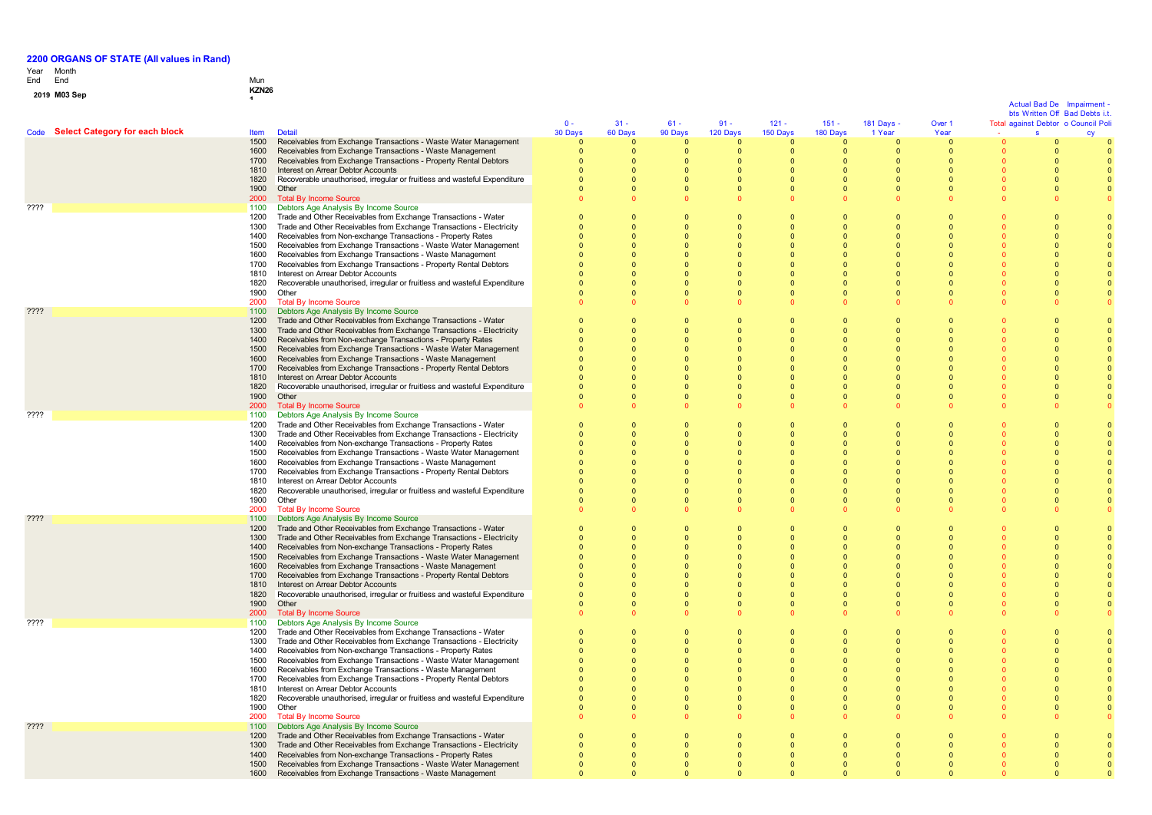# Year End Month End Mun

# **0 1 <sup>9</sup> M03 Sep KZN26 <sup>1</sup>**

|                 |                                     |              |                                                                                                                                     |                      |                      |                          |                      |                        |                      |                            |                      | <b>Actual Bad De</b><br>bts Written Off Bad Debts i.t | Imnairment |
|-----------------|-------------------------------------|--------------|-------------------------------------------------------------------------------------------------------------------------------------|----------------------|----------------------|--------------------------|----------------------|------------------------|----------------------|----------------------------|----------------------|-------------------------------------------------------|------------|
|                 |                                     |              |                                                                                                                                     | $0 -$                | $31 -$               | $61 -$                   | $91 -$               | $121 -$                | $151 -$              | 181 Days -                 | Over 1               | Total against Debtor o Council Poli                   |            |
|                 | Code Select Category for each block | <b>Item</b>  | <b>Detail</b>                                                                                                                       | 30 Days              | 60 Days              | 90 Days                  | 120 Days             | 150 Days               | 180 Days             | 1 Year                     | Year                 |                                                       |            |
|                 |                                     | 1500         | Receivables from Exchange Transactions - Waste Water Management                                                                     | $\Omega$             | $\Omega$             | $\Omega$                 | $\Omega$             | $\Omega$               | $\Omega$             | $\Omega$                   | $\Omega$             |                                                       |            |
|                 |                                     | 1600         | Receivables from Exchange Transactions - Waste Management                                                                           | 0                    | $\mathbf{0}$         | $\mathbf{0}$             | $\mathbf{0}$         | $\mathbf 0$            | $\Omega$             | $\mathbf 0$                | $\mathbf{0}$         |                                                       |            |
|                 |                                     | 1700         | Receivables from Exchange Transactions - Property Rental Debtors                                                                    | $\Omega$             | $\Omega$             | $\Omega$                 | $\Omega$             | $\Omega$               | $\Omega$             | $\Omega$                   | $\Omega$             |                                                       |            |
|                 |                                     | 1810         | Interest on Arrear Debtor Accounts                                                                                                  | $\Omega$             | $\Omega$             | $\Omega$                 | $\Omega$             | $\Omega$               | $\Omega$             | $\Omega$                   | $\Omega$             |                                                       |            |
|                 |                                     | 1820         | Recoverable unauthorised, irregular or fruitless and wasteful Expenditure                                                           | $\Omega$             | $\Omega$             | $\mathbf{0}$             | $\Omega$             | $\Omega$               | $\Omega$             | $\Omega$                   | $\Omega$             |                                                       |            |
|                 |                                     | 1900         | Other                                                                                                                               | $\Omega$             | $\Omega$             | $\Omega$                 | $\Omega$             | $\Omega$               | $\Omega$             | $\Omega$                   | $\Omega$             |                                                       |            |
| ????            |                                     | 2000<br>1100 | <b>Total By Income Source</b><br>Debtors Age Analysis By Income Source                                                              |                      |                      | $\Omega$                 |                      |                        |                      | $\Omega$                   |                      |                                                       |            |
|                 |                                     | 1200         | Trade and Other Receivables from Exchange Transactions - Water                                                                      | $\Omega$             | $\Omega$             | $\Omega$                 | $\Omega$             | $\Omega$               | $\Omega$             | $\Omega$                   | $\Omega$             |                                                       |            |
|                 |                                     | 1300         | Trade and Other Receivables from Exchange Transactions - Electricity                                                                | $\Omega$             | $\Omega$             | $\Omega$                 | $\Omega$             | $\Omega$               | $\Omega$             | $\overline{0}$             | $\Omega$             |                                                       |            |
|                 |                                     | 1400         | Receivables from Non-exchange Transactions - Property Rates                                                                         | $\Omega$             | $\Omega$             | $\Omega$                 | $\Omega$             | $\Omega$               | $\Omega$             | $\Omega$                   |                      |                                                       | $\Omega$   |
|                 |                                     | 1500         | Receivables from Exchange Transactions - Waste Water Management                                                                     | $\Omega$             | $\Omega$             | $\mathbf{0}$             | $\Omega$             | $\Omega$               | $\Omega$             | $\bullet$                  |                      |                                                       |            |
|                 |                                     | 1600         | Receivables from Exchange Transactions - Waste Management                                                                           | $\Omega$             |                      | $\Omega$                 | $\Omega$             | $\Omega$               | $\Omega$             | $\Omega$                   |                      |                                                       |            |
|                 |                                     | 1700         | Receivables from Exchange Transactions - Property Rental Debtors                                                                    | $\Omega$             | $\Omega$             | $\Omega$                 | $\Omega$             | $\Omega$               | $\Omega$             | $\Omega$                   | $\Omega$             |                                                       |            |
|                 |                                     | 1810         | Interest on Arrear Debtor Accounts                                                                                                  | $\Omega$             | $\Omega$             | $\Omega$                 | $\Omega$             | $\Omega$               | $\Omega$             | $\Omega$                   | $\Omega$             |                                                       |            |
|                 |                                     | 1820         | Recoverable unauthorised, irregular or fruitless and wasteful Expenditure                                                           | $\Omega$<br>$\Omega$ | $\Omega$<br>$\Omega$ | $\Omega$<br>$\Omega$     | $\Omega$<br>$\Omega$ | $\sqrt{ }$<br>$\Omega$ | $\Omega$             | $\Omega$<br>$\Omega$       | $\Omega$<br>$\Omega$ |                                                       | $\Omega$   |
|                 |                                     | 1900<br>2000 | Other<br><b>Total By Income Source</b>                                                                                              |                      |                      | $\Omega$                 |                      |                        | $\Omega$<br>$\Omega$ | $\Omega$                   | $\Omega$             |                                                       |            |
| ????            |                                     | 1100         | Debtors Age Analysis By Income Source                                                                                               |                      |                      |                          |                      |                        |                      |                            |                      |                                                       |            |
|                 |                                     | 1200         | Trade and Other Receivables from Exchange Transactions - Water                                                                      | $\Omega$             | $\Omega$             | $\Omega$                 | $\Omega$             | $\Omega$               | $\Omega$             | $\Omega$                   | $\Omega$             |                                                       |            |
|                 |                                     | 1300         | Trade and Other Receivables from Exchange Transactions - Electricity                                                                | $\Omega$             | $\Omega$             | $\Omega$                 | $\Omega$             | $\Omega$               | $\Omega$             | $\overline{0}$             | $\Omega$             |                                                       |            |
|                 |                                     | 1400         | Receivables from Non-exchange Transactions - Property Rates                                                                         | $\Omega$             | $\bullet$            | $\Omega$                 | $\Omega$             | $\Omega$               | $\Omega$             | $\Omega$                   | $\Omega$             |                                                       |            |
|                 |                                     | 1500         | Receivables from Exchange Transactions - Waste Water Management                                                                     |                      | $\Omega$             | $\Omega$                 |                      | $\Omega$               |                      | $\Omega$                   |                      |                                                       |            |
|                 |                                     | 1600         | Receivables from Exchange Transactions - Waste Management                                                                           |                      | $\Omega$             | $\Omega$                 | $\Omega$             | $\Omega$               |                      | $\Omega$                   | $\Omega$             |                                                       |            |
|                 |                                     | 1700         | Receivables from Exchange Transactions - Property Rental Debtors                                                                    |                      | $\Omega$             | $\Omega$                 | $\Omega$             | $\Omega$               | $\Omega$             | $\Omega$                   | $\Omega$             |                                                       |            |
|                 |                                     | 1810         | Interest on Arrear Debtor Accounts                                                                                                  |                      | $\Omega$             | $\Omega$                 | $\Omega$             | $\Omega$               | $\Omega$             | $\Omega$                   | $\Omega$             |                                                       |            |
|                 |                                     | 1820<br>1900 | Recoverable unauthorised, irregular or fruitless and wasteful Expenditure<br>Other                                                  |                      | $\Omega$<br>$\Omega$ | $\Omega$<br>$\Omega$     | $\Omega$<br>$\Omega$ | $\Omega$<br>$\Omega$   | $\Omega$<br>$\Omega$ | $\Omega$<br>$\Omega$       | $\Omega$<br>$\Omega$ |                                                       |            |
|                 |                                     | 2000         | <b>Total By Income Source</b>                                                                                                       |                      |                      | $\Omega$                 |                      |                        |                      | $\Omega$                   |                      |                                                       |            |
| ????            |                                     | 1100         | Debtors Age Analysis By Income Source                                                                                               |                      |                      |                          |                      |                        |                      |                            |                      |                                                       |            |
|                 |                                     | 1200         | Trade and Other Receivables from Exchange Transactions - Water                                                                      | $\Omega$             | $\Omega$             | $\Omega$                 | $\Omega$             | $\Omega$               | $\Omega$             | $\Omega$                   | $\Omega$             |                                                       |            |
|                 |                                     | 1300         | Trade and Other Receivables from Exchange Transactions - Electricity                                                                | $\Omega$             | $\Omega$             | $\Omega$                 | $\Omega$             | $\Omega$               | $\Omega$             | $\Omega$                   | $\Omega$             |                                                       |            |
|                 |                                     | 1400         | Receivables from Non-exchange Transactions - Property Rates                                                                         | $\Omega$             | $\mathbf{0}$         | $\mathbf{0}$             | $\mathbf{0}$         | $\Omega$               | $\Omega$             | $\mathbf{0}$               | $\Omega$             |                                                       |            |
|                 |                                     | 1500         | Receivables from Exchange Transactions - Waste Water Management                                                                     |                      | $\Omega$             | $\Omega$                 |                      | $\Omega$               |                      | $\Omega$                   |                      |                                                       |            |
|                 |                                     | 1600         | Receivables from Exchange Transactions - Waste Management                                                                           |                      |                      | $\Omega$                 | $\Omega$             | $\Omega$               | $\Omega$             | $\Omega$                   |                      |                                                       |            |
|                 |                                     | 1700<br>1810 | Receivables from Exchange Transactions - Property Rental Debtors<br>Interest on Arrear Debtor Accounts                              | $\Omega$<br>$\Omega$ | $\Omega$<br>$\Omega$ | $\Omega$<br>$\Omega$     | $\Omega$<br>$\Omega$ | $\Omega$<br>$\Omega$   | $\Omega$<br>$\Omega$ | $\Omega$<br>$\Omega$       | $\Omega$<br>$\Omega$ |                                                       |            |
|                 |                                     | 1820         | Recoverable unauthorised, irregular or fruitless and wasteful Expenditure                                                           | $\Omega$             | $\Omega$             | $\Omega$                 | $\Omega$             | $\Omega$               | $\Omega$             | $\Omega$                   | $\Omega$             |                                                       |            |
|                 |                                     | 1900         | Other                                                                                                                               |                      | $\Omega$             | $\mathbf{0}$             | $\overline{0}$       | $\overline{0}$         | $\overline{0}$       | $\overline{0}$             | $\overline{0}$       |                                                       |            |
|                 |                                     | 2000         | <b>Total By Income Source</b>                                                                                                       |                      |                      | $\Omega$                 |                      |                        |                      | $\Omega$                   |                      |                                                       |            |
| ????            |                                     | 1100         | Debtors Age Analysis By Income Source                                                                                               |                      |                      |                          |                      |                        |                      |                            |                      |                                                       |            |
|                 |                                     | 1200         | Trade and Other Receivables from Exchange Transactions - Water                                                                      | $\Omega$             | $\Omega$             | $\Omega$                 | $\Omega$             | $\Omega$               | $\Omega$             | $\Omega$                   | $\Omega$             |                                                       |            |
|                 |                                     | 1300         | Trade and Other Receivables from Exchange Transactions - Electricity                                                                | $\Omega$             | $\Omega$             | $\Omega$                 | $\Omega$             | $\Omega$               | $\Omega$             | $\overline{0}$             | $\Omega$             |                                                       |            |
|                 |                                     | 1400         | Receivables from Non-exchange Transactions - Property Rates                                                                         |                      | $\Omega$             | $\mathbf{0}$             |                      | $\overline{0}$         | $\Omega$             | $\overline{0}$             |                      |                                                       |            |
|                 |                                     | 1500<br>1600 | Receivables from Exchange Transactions - Waste Water Management                                                                     |                      | $\Omega$             | $\Omega$<br>$\Omega$     |                      | $\Omega$<br>$\Omega$   |                      | $\Omega$<br>$\Omega$       |                      |                                                       |            |
|                 |                                     | 1700         | Receivables from Exchange Transactions - Waste Management<br>Receivables from Exchange Transactions - Property Rental Debtors       |                      | $\Omega$             | $\Omega$                 | $\sqrt{ }$           | $\sqrt{ }$             | $\Omega$             | $\Omega$                   | $\Omega$             |                                                       |            |
|                 |                                     | 1810         | Interest on Arrear Debtor Accounts                                                                                                  |                      | $\Omega$             | $\Omega$                 | $\Omega$             | $\Omega$               | $\Omega$             | $\Omega$                   | $\Omega$             |                                                       |            |
|                 |                                     | 1820         | Recoverable unauthorised, irregular or fruitless and wasteful Expenditure                                                           |                      | $\Omega$             | $\Omega$                 | $\Omega$             | $\Omega$               | $\Omega$             | $\Omega$                   | $\Omega$             |                                                       |            |
|                 |                                     | 1900         | Other                                                                                                                               |                      | $\Omega$             | $\mathbf{0}$             |                      | $\Omega$               |                      | $\overline{0}$             | $\overline{0}$       |                                                       |            |
|                 |                                     | 2000         | <b>Total By Income Source</b>                                                                                                       |                      |                      |                          |                      |                        |                      | $\Omega$                   |                      |                                                       |            |
| ????            |                                     | 1100         | Debtors Age Analysis By Income Source                                                                                               |                      |                      |                          |                      |                        |                      |                            |                      |                                                       |            |
|                 |                                     | 1200         | Trade and Other Receivables from Exchange Transactions - Water                                                                      | $\Omega$             | $\Omega$             | $\Omega$                 | $\Omega$             | $\Omega$               | $\Omega$             | $\Omega$                   | $\Omega$             |                                                       |            |
|                 |                                     | 1300         | Trade and Other Receivables from Exchange Transactions - Electricity                                                                | $\Omega$             | $\Omega$             | $\Omega$                 | $\Omega$             | $\Omega$               | $\Omega$             | $\Omega$                   | $\Omega$             |                                                       | $\Omega$   |
|                 |                                     | 1400<br>1500 | Receivables from Non-exchange Transactions - Property Rates<br>Receivables from Exchange Transactions - Waste Water Management      | $\Omega$<br>$\Omega$ | $\Omega$<br>$\Omega$ | $\mathbf{0}$<br>$\Omega$ | $\Omega$<br>$\Omega$ | $\Omega$<br>$\Omega$   | $\Omega$<br>$\Omega$ | $\overline{0}$<br>$\Omega$ |                      |                                                       | $\Omega$   |
|                 |                                     | 1600         | Receivables from Exchange Transactions - Waste Management                                                                           | $\Omega$             | $\Omega$             | $\Omega$                 | $\Omega$             | $\Omega$               | $\Omega$             | $\Omega$                   | $\Omega$             |                                                       |            |
|                 |                                     | 1700         | Receivables from Exchange Transactions - Property Rental Debtors                                                                    | $\Omega$             | $\Omega$             | $\Omega$                 | $\Omega$             | $\Omega$               | $\Omega$             | $\Omega$                   | $\Omega$             |                                                       |            |
|                 |                                     | 1810         | Interest on Arrear Debtor Accounts                                                                                                  | $\Omega$             | $\Omega$             | $\Omega$                 | $\Omega$             | $\Omega$               | $\Omega$             | $\Omega$                   | $\Omega$             |                                                       |            |
|                 |                                     | 1820         | Recoverable unauthorised, irregular or fruitless and wasteful Expenditure                                                           | $\Omega$             | $\Omega$             | $\bullet$                | $\Omega$             | $\Omega$               | $\Omega$             | $\Omega$                   | $\Omega$             |                                                       |            |
|                 |                                     | 1900         | Other                                                                                                                               | $\Omega$             | $\Omega$             | $\mathbf{0}$             | $\Omega$             | $\overline{0}$         | $\mathbf{0}$         | $\overline{0}$             | $\overline{0}$       |                                                       |            |
|                 |                                     | 2000         | <b>Total By Income Source</b>                                                                                                       |                      |                      | $\Omega$                 | $\Omega$             | $\Omega$               | $\Omega$             | $\Omega$                   | $\Omega$             |                                                       |            |
| $??\mathsf{??}$ |                                     | 1100         | Debtors Age Analysis By Income Source                                                                                               |                      |                      |                          |                      |                        |                      |                            |                      |                                                       |            |
|                 |                                     | 1200<br>1300 | Trade and Other Receivables from Exchange Transactions - Water                                                                      | 0                    | $\Omega$<br>$\Omega$ | $\Omega$<br>$\Omega$     | $\Omega$<br>$\Omega$ | $\Omega$<br>$\Omega$   | $\Omega$             | $\Omega$<br>$\Omega$       | $\Omega$<br>$\Omega$ |                                                       |            |
|                 |                                     | 1400         | Trade and Other Receivables from Exchange Transactions - Electricity<br>Receivables from Non-exchange Transactions - Property Rates |                      | $\mathbf{0}$         | $\mathbf{0}$             | $\overline{0}$       | $\overline{0}$         | $\Omega$             | $\overline{0}$             | $\mathbf{0}$         |                                                       |            |
|                 |                                     | 1500         | Receivables from Exchange Transactions - Waste Water Management                                                                     | $\Omega$             | $\Omega$             | $\Omega$                 | $\Omega$             | $\Omega$               |                      | $\Omega$                   | $\Omega$             |                                                       |            |
|                 |                                     | 1600         | Receivables from Exchange Transactions - Waste Management                                                                           |                      |                      | $\Omega$                 |                      |                        |                      | $\Omega$                   |                      |                                                       |            |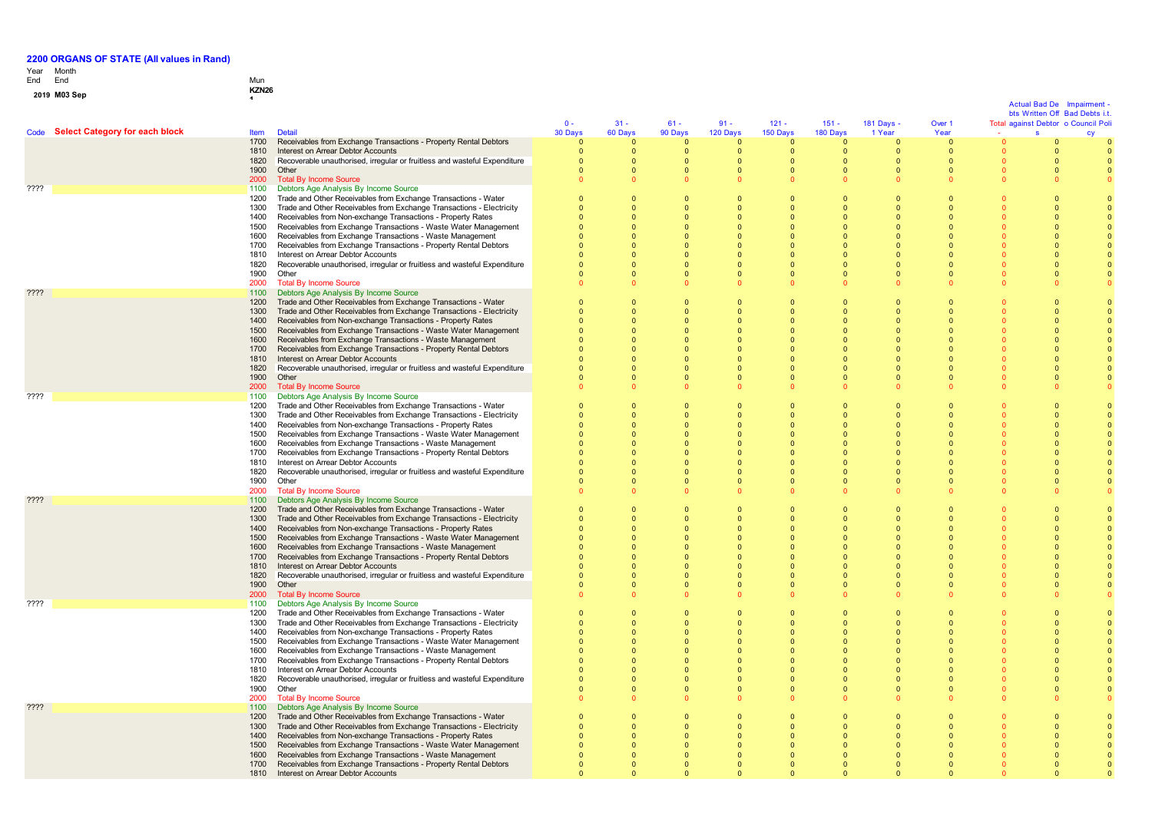### Year Month End

## End Mun

**2 0 1 <sup>9</sup> M03 Sep KZN26 <sup>1</sup>**

Code **Select Category for each block** Item Detail  $\mathbf{0}$  -3 0 D a y s 3 1 - 6 0 D a y s 6 1 - 9 0 D a y s 9 1 - 1 2 0 D a y s 1 2 1 - 1 5 0 D a y s 1 5 1 - 180 Days 1 8 1 D a y s - 1 Year Over 1 Year Total against Debtor o Council Poli - Actual Bad De Impairment -Actual Bad De Impairment -<br>bts Written Off Bad Debts i.t.<br>against Debtor o Council Poli<br>s cy cy 1700 Receivables from Exchange Transactions - Property Rental Debtors ້ດ ຳ  $\sqrt{2}$  $\sqrt{2}$ ່ດ  $\sqrt{2}$  $\Omega$  $\overline{0}$  $\mathbf{0}$  $\sqrt{2}$  $\mathbf{0}$ 1810 Interest on Arrear Debtor Accounts<br>1820 Becoverable unauthorised irregular 0  $\sqrt{2}$  $\overline{0}$  $\Omega$  $\Omega$  $\sqrt{2}$  $\sqrt{2}$  $\sqrt{2}$  $\mathbf 0$  $\overline{0}$  $\Omega$ Recoverable unauthorised, irregular or fruitless and wasteful Expenditure<br>Other  $\overline{0}$  $\sqrt{2}$  $\sqrt{2}$  $\sqrt{2}$  $\sqrt{2}$  $\mathbf{0}$  $\sqrt{2}$  $\sqrt{2}$  $\mathbf{0}$  $\sqrt{2}$  $\sqrt{2}$ 1900<br>2000  $\overline{0}$  $\Omega$ 0  $\Omega$  $\Omega$  $\Omega$  $\mathbf{0}$ 0  $\mathbf{0}$  $\Omega$  $\Omega$ 2000 Total By Income Source<br>1100 Debtors Age Analysis By  $\overline{0}$ 0  $\Omega$  $\Omega$  $\Omega$  $\mathbf{0}$  $\mathbf{0}$  $\Omega$  $\mathbf{0}$  $\Omega$  $\mathbf{0}$ Pressure Analysis By Income Source<br>
2002 - Trade and Other Receivables from Exchange<br>
2000 - Trade and Other Receivables from Exchan 1200 Trade and Other Receivables from Exchange Transactions - Water  $\overline{0}$  $\sqrt{2}$  $\sqrt{2}$  $\overline{0}$  $\overline{0}$  $\mathbf{0}$  $\sqrt{2}$  $\sqrt{2}$  $\mathbf{0}$  $\sqrt{2}$  $\mathbf{0}$ 1300 Trade and Other Receivables from Exchange Transactions - Electricity  $\sqrt{2}$  $\sqrt{2}$  $\sqrt{2}$  $\sqrt{2}$  $\sqrt{2}$  $\sqrt{2}$  $\sqrt{2}$  $\Omega$  $\mathbf{0}$  $\sqrt{2}$  $\sqrt{2}$ 1400 Receivables from Non-exchange Transactions - Property Rates 0  $\sqrt{2}$ 0 0  $\Omega$  $\Omega$  $\Omega$  $\Omega$  $\mathbf{0}$  $\overline{0}$  $\Omega$ 1500 Receivables from Exchange Transactions - Waste Water Management  $\sqrt{2}$  $\sqrt{2}$  $\Omega$  $\sqrt{2}$  $\Omega$  $\sqrt{2}$  $\sqrt{2}$  $\sqrt{2}$  $\mathbf{0}$  $\sqrt{2}$  $\Omega$ 1600 Receivables from Exchange Transactions - Waste Management  $\sqrt{2}$ 0  $\Omega$  $\overline{0}$  $\mathbf{0}$  $\mathbf{0}$  $\mathbf{0}$  $\Omega$  $\mathbf{0}$  $\mathbf{0}$  $\mathbf{0}$ 1700 Receivables from Exchange Transactions - Property Rental Debtors  $\Omega$  $\Omega$  $\Omega$  $\Omega$  $\sqrt{2}$  $\overline{0}$  $\sqrt{2}$  $\Omega$  $\mathbf{0}$  $\overline{0}$  $\Omega$ 1810 Interest on Arrear Debtor Accounts<br>1820 Recoverable unauthorised, irregular  $\overline{0}$  $\sqrt{2}$  $\Omega$  $\Omega$  $\sqrt{2}$  $\sqrt{2}$  $\sqrt{2}$  $\sqrt{2}$  $\mathbf{0}$  $\Omega$  $\Omega$ 1820 Recoverable unauthorised, irregular or fruitless and wasteful Expenditure  $\Omega$  $\Omega$  $\Omega$  $\Omega$  $\Omega$  $\Omega$  $\Omega$  $\Omega$  $\sqrt{2}$  $\Omega$ 0 1900 Other<br>2000 Total 0 0  $\Omega$  $\Omega$  $\Omega$  $\mathbf{0}$  $\mathbf{0}$  $\Omega$  $\mathbf{0}$  $\Omega$  $\Omega$ 2000 Total By Income Source<br>1100 Debtors Age Analysis B  $\sqrt{2}$ 0  $\Omega$  $\Omega$  $\sqrt{2}$  $\mathbf{0}$  $\mathbf{0}$  $\mathbf{0}$  $\mathbf{0}$  $\Omega$  $\Omega$ ???? 1100 Debtors Age Analysis By Income Source 1200 Trade and Other Receivables from Exchange Transactions - Water  $\overline{0}$  $\sqrt{2}$  $\overline{0}$  $\sqrt{2}$  $\sqrt{2}$  $\mathbf{0}$  $\sqrt{2}$  $\sqrt{2}$  $\mathbf{0}$ 0  $\sqrt{2}$ 1300 Trade and Other Receivables from Exchange Transactions - Electricity  $\sqrt{2}$  $\sqrt{2}$  $\sqrt{2}$  $\Omega$  $\overline{0}$  $\sqrt{2}$  $\Omega$  $\sqrt{2}$  $\mathbf{0}$  $\sqrt{2}$  $\Omega$ 1400 Receivables from Non-exchange Transactions - Property Rates  $\overline{0}$  $\sqrt{2}$  $\Omega$  $\Omega$  $\Omega$  $\Omega$  $\Omega$  $\Omega$  $\mathbf{0}$  $\ddot{\mathbf{0}}$  $\Omega$ 1500 Receivables from Exchange Transactions - Waste Water Management  $\sqrt{2}$  $\sqrt{2}$  $\Omega$  $\Omega$  $\Omega$  $\sqrt{2}$  $\Omega$  $\Omega$  $\mathbf{0}$  $\sqrt{2}$  $\Omega$ 1600 Receivables from Exchange Transactions - Waste Management  $\overline{0}$  $\Omega$  $\overline{0}$  $\Omega$  $\Omega$  $\Omega$  $\Omega$  $\Omega$  $\mathbf{0}$  $\Omega$  $\Omega$ 1700 Receivables from Exchange Transactions - Property Rental Debtors  $\sqrt{2}$  $\sqrt{2}$  $\sqrt{2}$  $\Omega$  $\Omega$  $\sqrt{2}$  $\Omega$  $\sqrt{2}$  $\mathbf 0$  $\sqrt{2}$  $\sqrt{2}$ 1810 Interest on Arrear Debtor Accounts<br>1820 Recoverable unauthorised, irregular  $\Omega$  $\Omega$  $\Omega$  $\Omega$  $\Omega$  $\Omega$  $\mathbf{0}$  $\Omega$  $\mathbf{0}$  $\Omega$  $\Omega$ 1820 Recoverable unauthorised, irregular or fruitless and wasteful Expenditure 0 0  $\Omega$  $\mathbf{0}$  $\Omega$ 0  $\Omega$  $\mathbf{0}$  $\mathbf{0}$ 0  $\Omega$ 1900 Other<br>2000 Total  $\overline{0}$  $\Omega$  $\overline{0}$  $\Omega$  $\Omega$ 0  $\Omega$  $\Omega$  $\mathbf 0$  $\sqrt{2}$  $\Omega$ 2000 Total By Income Source<br>1100 Debtors Age Analysis B  $\sqrt{2}$ 0  $\sqrt{2}$  $\Omega$  $\mathbf{0}$  $\mathbf{0}$  $\mathbf{0}$  $\sqrt{2}$  $\mathbf{0}$  $\mathbf{0}$  $\mathbf{0}$ ???? 1100 Debtors Age Analysis By Income Source 1200 Trade and Other Receivables from Exchange Transactions - Water  $\overline{0}$  $\sqrt{2}$  $\sqrt{2}$  $\Omega$  $\overline{0}$  $\sqrt{2}$  $\Omega$  $\sqrt{2}$  $\overline{0}$  $\sqrt{2}$  $\sqrt{2}$ 1300 Trade and Other Receivables from Exchange Transactions - Electricity  $\overline{0}$  $\Omega$ 0  $\Omega$  $\Omega$  $\Omega$  $\Omega$  $\Omega$  $\Omega$  $\overline{0}$  $\Omega$ 1400 Receivables from Non-exchange Transactions - Property Rates  $\sqrt{2}$  $\sqrt{2}$  $\Omega$  $\Omega$  $\Omega$  $\sqrt{2}$  $\Omega$  $\sqrt{2}$  $\mathbf 0$  $\sqrt{2}$  $\Omega$ 1500 Receivables from Exchange Transactions - Waste Water Management 0 0 0 0  $\Omega$  $\Omega$  $\mathbf{0}$ 0  $\mathbf{0}$ 0 0 1600 Receivables from Exchange Transactions - Waste Management  $\Omega$  $\Omega$  $\Omega$  $\Omega$  $\Omega$  $\Omega$  $\Omega$  $\Omega$  $\mathbf{0}$  $\Omega$  $\Omega$ 1700 Receivables from Exchange Transactions - Property Rental Debtors  $\sqrt{2}$  $\sqrt{2}$  $\sqrt{2}$  $\Omega$  $\sqrt{2}$  $\sqrt{2}$  $\sqrt{2}$  $\sqrt{2}$  $\mathbf 0$  $\sqrt{2}$  $\sqrt{2}$ 1810 Interest on Arrear Debtor Accounts<br>1820 Recoverable unauthorised, irregular  $\Omega$  $\sqrt{2}$  $\Omega$  $\Omega$  $\Omega$  $\Omega$  $\Omega$  $\Omega$  $\mathbf{0}$  $\overline{0}$  $\Omega$ 1820 Recoverable unauthorised, irregular or fruitless and wasteful Expenditure 0  $\sqrt{2}$  $\Omega$  $\Omega$  $\Omega$  $\sqrt{2}$  $\Omega$  $\Omega$ 0  $\Omega$  $\Omega$ **Other**  $\sqrt{2}$  $\sqrt{2}$  $\Omega$  $\Omega$  $\Omega$  $\sqrt{2}$  $\Omega$  $\Omega$  $\sqrt{2}$  $\sqrt{2}$  $\Omega$ 2000 Total By Income Source<br>1100 Debtors Age Analysis B  $\sqrt{2}$ 0  $\Omega$  $\Omega$  $\Omega$  $\mathbf{0}$  $\mathbf{0}$  $\mathbf{0}$  $\mathbf{0}$  $\mathbf{0}$  $\mathbf{0}$ ???? 1100 Debtors Age Analysis By Income Source 1200 Trade and Other Receivables from Exchange Transactions - Water 0 0 0  $\mathbf{0}$  $\overline{0}$  $\Omega$ 0 0  $\Omega$ 0 0 1300 Trade and Other Receivables from Exchange Transactions - Electricity 0  $\Omega$  $\Omega$  $\Omega$  $\Omega$  $\Omega$  $\Omega$  $\Omega$  $\sqrt{2}$  $\Omega$  $\Omega$ 1400 Receivables from Non-exchange Transactions - Property Rates  $\overline{0}$  $\sqrt{2}$  $\Omega$  $\sqrt{2}$  $\sqrt{2}$  $\sqrt{2}$  $\sqrt{2}$  $\sqrt{2}$  $\mathbf 0$  $\overline{0}$  $\Omega$ 1500 Receivables from Exchange Transactions - Waste Water Management  $\overline{0}$  $\sqrt{2}$  $\Omega$  $\sqrt{2}$  $\Omega$  $\sqrt{2}$  $\Omega$  $\sqrt{2}$  $\mathbf{0}$  $\sqrt{2}$  $\Omega$ 1600 Receivables from Exchange Transactions - Waste Management  $\sqrt{2}$  $\sqrt{2}$  $\sqrt{2}$  $\Omega$  $\sqrt{2}$  $\sqrt{2}$  $\Omega$  $\sqrt{2}$ 0  $\sqrt{2}$  $\Omega$ 1700 Receivables from Exchange Transactions - Property Rental Debtors 0  $\overline{0}$ 0  $\Omega$  $\Omega$  $\overline{0}$  $\Omega$  $\Omega$  $\mathbf{0}$ 0  $\Omega$ 1810 Interest on Arrear Debtor Accounts<br>1820 Recoverable unauthorised, irregular 0  $\sqrt{2}$  $\Omega$  $\Omega$  $\Omega$  $\sqrt{2}$  $\Omega$  $\sqrt{2}$  $\mathbf{0}$  $\Omega$  $\Omega$ 1820 Recoverable unauthorised, irregular or fruitless and wasteful Expenditure<br>1900 Other  $\sqrt{2}$  $\sqrt{2}$  $\mathbf{0}$  $\sqrt{2}$  $\overline{0}$  $\sqrt{2}$  $\Omega$  $\sqrt{2}$ 0  $\sqrt{2}$  $\Omega$  $\sqrt{2}$  $\sqrt{2}$  $\sqrt{2}$  $\Omega$  $\Omega$  $\sqrt{2}$  $\Omega$  $\Omega$  $\mathbf{0}$ 0 0

0

 $\overline{0}$ 

 $\overline{0}$ 

 $\Omega$ 

 $\overline{0}$ 

0

 $\Omega$ 

 $\sqrt{2}$ 

 $\sqrt{2}$ 

 $\sqrt{2}$ 

 $\overline{0}$ 

0

 $\sqrt{2}$ 

 $\overline{0}$ 

 $\sqrt{2}$ 

0

0

0

0

 $\Omega$ 

 $\Omega$ 

 $\sqrt{2}$ 

 $\sqrt{2}$ 

 $\sqrt{2}$ 

 $\Omega$ 

 $\sqrt{2}$ 

 $\sqrt{2}$ 

 $\sqrt{2}$ 

0

 $\overline{0}$ 

 $\sqrt{2}$ 

0

 $\sqrt{2}$ 

0

 $\Omega$ 

0

0

0

 $\Omega$ 

 $\Omega$ 

 $\sqrt{2}$ 

 $\Omega$ 

 $\Omega$ 

 $\Omega$ 

 $\sqrt{2}$ 

0

 $\sqrt{2}$ 

0

 $\sqrt{2}$ 

 $\Omega$ 

 $\sqrt{2}$ 

 $\overline{0}$ 

0

 $\overline{0}$ 

 $\Omega$ 

 $\Omega$ 

 $\Omega$ 

 $\Omega$ 

 $\Omega$ 

 $\Omega$ 

 $\Omega$ 

 $\sqrt{2}$ 

 $\Omega$ 

 $\Omega$ 

 $\Omega$ 

 $\Omega$ 

 $\Omega$ 

 $\Omega$ 

 $\Omega$ 

 $\mathbf{0}$ 

 $\Omega$ 

 $\Omega$ 

0

 $\Omega$ 

 $\Omega$ 

 $\Omega$ 

 $\Omega$ 

 $\sqrt{2}$ 

 $\Omega$ 

 $\Omega$ 

 $\Omega$ 

 $\Omega$ 

 $\overline{0}$ 

 $\Omega$ 

 $\Omega$ 

 $\overline{0}$ 

 $\sqrt{2}$ 

 $\Omega$ 

 $\Omega$ 

0

0

 $\Omega$ 

 $\overline{0}$ 

 $\Omega$ 

 $\sqrt{2}$ 

 $\sqrt{2}$ 

 $\Omega$ 

 $\sqrt{2}$ 

 $\sqrt{2}$ 

 $\sqrt{2}$ 

0

 $\sqrt{2}$ 

 $\sqrt{2}$ 

0

 $\sqrt{2}$ 

 $\Omega$ 

 $\Omega$ 

0

0

 $\Omega$ 

 $\Omega$ 

0

 $\Omega$ 

 $\sim$ 

 $\Omega$ 

0

 $\Omega$ 

 $\sqrt{2}$ 

0

 $\Omega$ 

 $\sqrt{2}$ 

0

 $\Omega$ 

 $\Omega$ 

 $\Omega$ 

0

0

 $\Omega$ 

 $\Omega$ 

 $\Omega$ 

 $\sqrt{2}$ 

 $\sqrt{2}$ 

 $\Omega$ 

 $\sqrt{2}$ 

 $\Omega$ 

 $\Omega$ 

 $\sqrt{2}$ 

 $\Omega$ 

 $\sqrt{2}$ 

 $\Omega$ 

 $\Omega$ 

0

 $\Omega$ 

0

0

 $\mathbf{0}$ 

 $\sqrt{2}$ 

 $\mathbf 0$ 

 $\mathbf{0}$ 

0

 $\mathbf{0}$ 

0

0

 $\mathbf{0}$ 

0

 $\sqrt{2}$ 

0

 $\mathbf 0$ 

0

0

 $\sqrt{2}$ 

0

0

 $\overline{0}$ 

 $\overline{0}$ 

 $\Omega$ 

 $\sqrt{2}$ 

 $\sqrt{2}$ 

 $\Omega$ 

 $\sqrt{2}$ 

 $\sqrt{2}$ 

0

 $\sqrt{2}$ 

 $\overline{0}$ 

 $\sqrt{2}$ 

 $\Omega$ 

 $\sqrt{2}$ 

 $\overline{0}$ 

0

0

0

 $\Omega$ 

 $\Omega$ 

 $\mathbf 0$ 

 $\Omega$ 

 $\Omega$ 

 $\Omega$ 

 $\Omega$ 

0

 $\Omega$ 

 $\Omega$ 

 $\Omega$ 

 $\mathbf 0$ 

 $\Omega$ 

0

0

1900 Other<br>2000 Total F 2000 Total By Income Source<br>1100 Debtors Age Analysis By Pressure Analysis By Income Source<br>1100 Debtors Age Analysis By Income Source<br>1200 Trade and Other Receivables from Exchan 1200 Trade and Other Receivables from Exchange Transactions - Water 1300 Trade and Other Receivables from Exchange Transactions - Electricity 1400 Receivables from Non-exchange Transactions - Property Rates 1500 Receivables from Exchange Transactions - Waste Water Management 1600 Receivables from Exchange Transactions - Waste Management 1700 Receivables from Exchange Transactions - Property Rental Debtors 1810 Interest on Arrear Debtor Accounts<br>1820 Recoverable unauthorised irregular 1820 Recoverable unauthorised, irregular or fruitless and wasteful Expenditure<br>1900 Cither 1900 Other<br>2000 Total **Zotal By Income Source** ???? 1100 Debtors Age Analysis By Income Source 1200 Trade and Other Receivables from Exchange Transactions - Water 1300 Trade and Other Receivables from Exchange Transactions - Electricity 1400 Receivables from Non-exchange Transactions - Property Rates

1810 Interest on Arrear Debtor Accounts

1500 Receivables from Exchange Transactions - Waste Water Management

1600 Receivables from Exchange Transactions - Waste Management

1700 Receivables from Exchange Transactions - Property Rental Debtors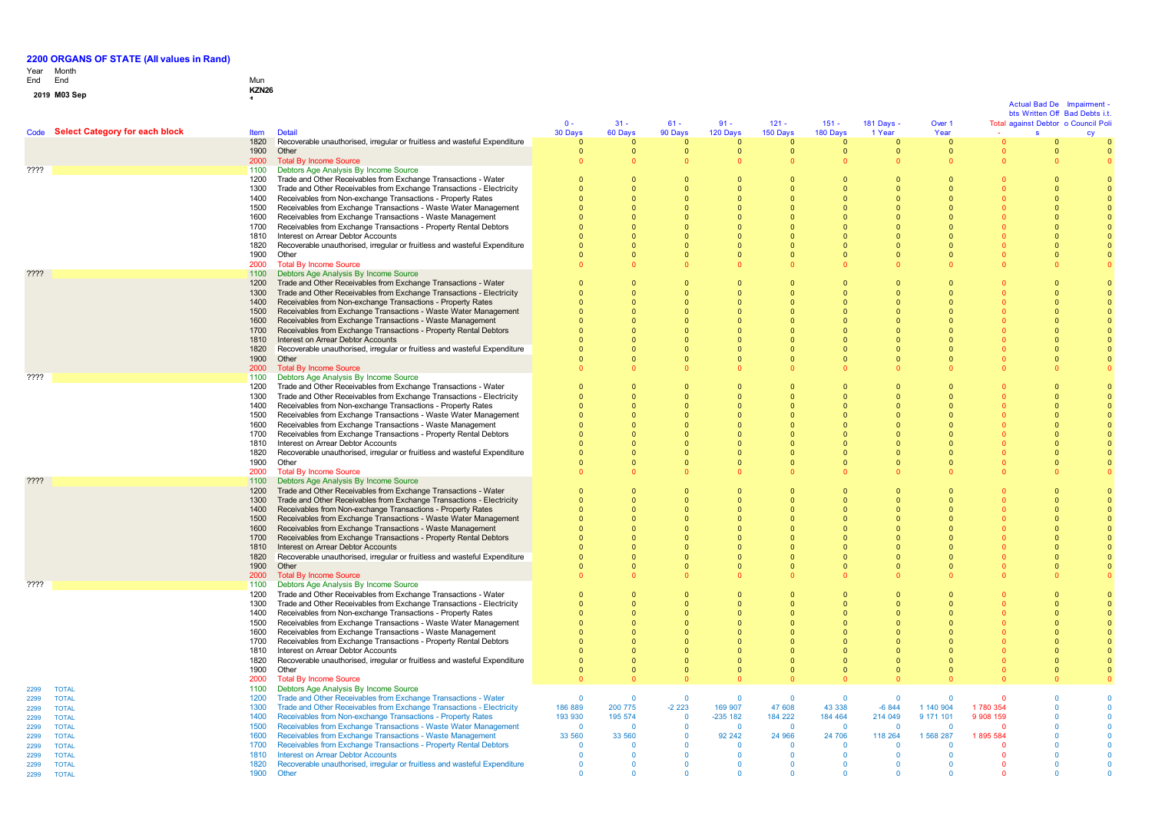# Year End Month End Mun **0 1 <sup>9</sup> M03 Sep KZN26 <sup>1</sup>**

|                                              |                                     |              |                                                                                                                                     |                      |                    |                           |                            |                         |                            |                      |                         |                       | Actual Bad De<br>bts Written Off Bad Debts i.t. | Impairment |
|----------------------------------------------|-------------------------------------|--------------|-------------------------------------------------------------------------------------------------------------------------------------|----------------------|--------------------|---------------------------|----------------------------|-------------------------|----------------------------|----------------------|-------------------------|-----------------------|-------------------------------------------------|------------|
|                                              | Code Select Category for each block | <b>Item</b>  | <b>Detail</b>                                                                                                                       | $0 -$<br>30 Days     | $31 -$<br>60 Days  | $61 -$<br>90 Days         | $91 -$<br>120 Days         | $121 -$<br>150 Days     | $151 -$<br>180 Days        | 181 Days -<br>1 Year | Over 1<br>Year          |                       | Total against Debtor o Council Pol<br>s.        |            |
|                                              |                                     | 1820         | Recoverable unauthorised, irregular or fruitless and wasteful Expenditure                                                           | $\Omega$             |                    | $\Omega$                  | $\Omega$                   | $\Omega$                | $\Omega$                   | $\Omega$             | $\mathbf{0}$            |                       | $\Omega$                                        |            |
|                                              |                                     | 1900         | Other                                                                                                                               | $\mathbf{0}$         | $\mathbf{0}$       | $\mathbf 0$               | $\overline{0}$             | $\mathbf{0}$            | $\overline{0}$             | $\mathbf{0}$         | $\mathbf{0}$            |                       | $\mathbf{0}$                                    |            |
| ????                                         |                                     | 2000<br>1100 | <b>Total By Income Source</b><br>Debtors Age Analysis By Income Source                                                              |                      |                    | $\Omega$                  |                            |                         | $\Omega$                   | $\Omega$             | $\Omega$                |                       |                                                 |            |
|                                              |                                     | 1200         | Trade and Other Receivables from Exchange Transactions - Water                                                                      | $\Omega$             | $\Omega$           | $\Omega$                  | $\Omega$                   | $\sqrt{ }$              | $\Omega$                   | $\Omega$             | $\Omega$                |                       |                                                 |            |
|                                              |                                     | 1300         | Trade and Other Receivables from Exchange Transactions - Electricity                                                                |                      | $\Omega$           |                           |                            |                         | $\Omega$                   |                      | $\Omega$                |                       |                                                 |            |
|                                              |                                     | 1400         | Receivables from Non-exchange Transactions - Property Rates                                                                         |                      |                    |                           | $\Omega$                   |                         | $\Omega$                   |                      | $\Omega$                |                       |                                                 |            |
|                                              |                                     | 1500<br>1600 | Receivables from Exchange Transactions - Waste Water Management<br>Receivables from Exchange Transactions - Waste Management        |                      |                    | $\Omega$                  |                            |                         | $\Omega$<br>$\Omega$       | $\Omega$             | $\Omega$<br>$\Omega$    |                       |                                                 |            |
|                                              |                                     | 1700         | Receivables from Exchange Transactions - Property Rental Debtors                                                                    |                      |                    | $\Omega$                  | $\Omega$                   |                         | $\Omega$                   | $\Omega$             | $\Omega$                |                       |                                                 |            |
|                                              |                                     | 1810         | Interest on Arrear Debtor Accounts                                                                                                  |                      |                    |                           |                            |                         | $\Omega$                   | $\Omega$             | $\Omega$                |                       |                                                 |            |
|                                              |                                     | 1820         | Recoverable unauthorised, irregular or fruitless and wasteful Expenditure                                                           |                      | $\Omega$           | $\Omega$                  | $\Omega$                   | $\Omega$                | $\overline{0}$             | $\Omega$             | $\Omega$                |                       |                                                 |            |
|                                              |                                     | 1900<br>2000 | Other<br><b>Total By Income Source</b>                                                                                              |                      | $\Omega$           | $\Omega$                  | $\Omega$                   | $\Omega$                | $\Omega$<br>$\Omega$       | $\Omega$<br>$\Omega$ | $\Omega$                |                       |                                                 |            |
| ????                                         |                                     | 1100         | Debtors Age Analysis By Income Source                                                                                               |                      |                    |                           |                            |                         |                            |                      |                         |                       |                                                 |            |
|                                              |                                     | 1200         | Trade and Other Receivables from Exchange Transactions - Water                                                                      | $\Omega$             | $\Omega$           | $\Omega$                  | $\Omega$                   | $\sqrt{ }$              | $\Omega$                   | $\Omega$             | $\Omega$                |                       | $\Omega$                                        |            |
|                                              |                                     | 1300         | Trade and Other Receivables from Exchange Transactions - Electricity                                                                | $\Omega$             | $\Omega$           | $\Omega$                  | $\Omega$                   | $\Omega$                | $\Omega$                   | $\Omega$             | $\Omega$                |                       | $\Omega$                                        |            |
|                                              |                                     | 1400         | Receivables from Non-exchange Transactions - Property Rates                                                                         |                      |                    |                           |                            |                         | $\Omega$                   |                      |                         |                       |                                                 |            |
|                                              |                                     | 1500<br>1600 | Receivables from Exchange Transactions - Waste Water Management<br>Receivables from Exchange Transactions - Waste Management        |                      | $\Omega$           | $\Omega$<br>$\Omega$      |                            | $\Omega$                | $\overline{0}$<br>$\Omega$ | $\Omega$             | $\Omega$<br>$\Omega$    |                       |                                                 |            |
|                                              |                                     | 1700         | Receivables from Exchange Transactions - Property Rental Debtors                                                                    |                      | $\Omega$           |                           |                            | $\Omega$                | $\Omega$                   | $\Omega$             | $\Omega$                |                       |                                                 |            |
|                                              |                                     | 1810         | Interest on Arrear Debtor Accounts                                                                                                  |                      | $\Omega$           |                           |                            | $\Omega$                | $\Omega$                   | $\Omega$             | $\Omega$                |                       |                                                 |            |
|                                              |                                     | 1820         | Recoverable unauthorised, irregular or fruitless and wasteful Expenditure                                                           |                      |                    |                           |                            |                         |                            |                      | $\Omega$                |                       |                                                 |            |
|                                              |                                     | 1900<br>2000 | Other<br><b>Total By Income Source</b>                                                                                              |                      | $\Omega$           |                           |                            | $\Omega$                | $\Omega$                   | $\Omega$             | $\Omega$                |                       |                                                 |            |
| ????                                         |                                     | 1100         | Debtors Age Analysis By Income Source                                                                                               |                      |                    |                           |                            |                         |                            |                      |                         |                       |                                                 |            |
|                                              |                                     | 1200         | Trade and Other Receivables from Exchange Transactions - Water                                                                      | $\Omega$             | $\Omega$           | $\Omega$                  | $\Omega$                   | $\Omega$                | $\Omega$                   | $\Omega$             | $\Omega$                |                       |                                                 |            |
|                                              |                                     | 1300         | Trade and Other Receivables from Exchange Transactions - Electricity                                                                |                      | $\Omega$           | $\Omega$                  | $\Omega$                   | $\Omega$                | $\Omega$                   | $\Omega$             | $\Omega$                |                       | $\Omega$                                        |            |
|                                              |                                     | 1400<br>1500 | Receivables from Non-exchange Transactions - Property Rates<br>Receivables from Exchange Transactions - Waste Water Management      |                      |                    |                           |                            |                         | $\Omega$                   | $\Omega$             | $\Omega$                |                       |                                                 |            |
|                                              |                                     | 1600         | Receivables from Exchange Transactions - Waste Management                                                                           |                      |                    | $\Omega$                  | $\Omega$                   |                         | $\Omega$                   | $\Omega$             | $\Omega$                |                       |                                                 |            |
|                                              |                                     | 1700         | Receivables from Exchange Transactions - Property Rental Debtors                                                                    |                      |                    | $\Omega$                  | $\Omega$                   |                         | $\Omega$                   | $\Omega$             | $\Omega$                |                       |                                                 |            |
|                                              |                                     | 1810         | Interest on Arrear Debtor Accounts                                                                                                  |                      |                    | $\Omega$                  |                            |                         | $\mathbf 0$                | $\Omega$             | $\Omega$                |                       |                                                 |            |
|                                              |                                     | 1820         | Recoverable unauthorised, irregular or fruitless and wasteful Expenditure                                                           |                      |                    |                           |                            |                         | $\Omega$                   |                      | $\Omega$                |                       |                                                 |            |
|                                              |                                     | 1900<br>2000 | Other<br><b>Total By Income Source</b>                                                                                              |                      |                    |                           | $\Omega$                   | $\Omega$                | $\Omega$<br>$\Omega$       | $\Omega$<br>$\Omega$ | $\Omega$                |                       |                                                 |            |
| ????                                         |                                     | 1100         | Debtors Age Analysis By Income Source                                                                                               |                      |                    |                           |                            |                         |                            |                      |                         |                       |                                                 |            |
|                                              |                                     | 1200         | Trade and Other Receivables from Exchange Transactions - Water                                                                      | $\Omega$             | $\Omega$           | $\Omega$                  | $\Omega$                   | $\Omega$                | $\Omega$                   | $\Omega$             | $\Omega$                |                       | $\Omega$                                        |            |
|                                              |                                     | 1300         | Trade and Other Receivables from Exchange Transactions - Electricity                                                                | $\Omega$             |                    |                           | $\Omega$                   |                         | $\overline{0}$             |                      | $\Omega$                |                       |                                                 |            |
|                                              |                                     | 1400<br>1500 | Receivables from Non-exchange Transactions - Property Rates<br>Receivables from Exchange Transactions - Waste Water Management      |                      |                    |                           |                            |                         | $\overline{0}$             |                      |                         |                       |                                                 |            |
|                                              |                                     | 1600         | Receivables from Exchange Transactions - Waste Management                                                                           |                      | $\Omega$           | $\Omega$                  | $\Omega$                   | $\Omega$                | $\Omega$                   | $\Omega$             | $\Omega$                |                       |                                                 |            |
|                                              |                                     | 1700         | Receivables from Exchange Transactions - Property Rental Debtors                                                                    |                      |                    |                           |                            |                         |                            | $\Omega$             | $\Omega$                |                       |                                                 |            |
|                                              |                                     | 1810         | Interest on Arrear Debtor Accounts                                                                                                  |                      |                    |                           |                            |                         |                            | $\Omega$             | $\Omega$                |                       |                                                 |            |
|                                              |                                     | 1820<br>1900 | Recoverable unauthorised, irregular or fruitless and wasteful Expenditure<br>Other                                                  |                      |                    |                           |                            |                         |                            | $\Omega$<br>$\Omega$ | $\Omega$<br>$\Omega$    |                       |                                                 |            |
|                                              |                                     | 2000         | <b>Total By Income Source</b>                                                                                                       |                      |                    |                           |                            |                         |                            |                      |                         |                       |                                                 |            |
| ????                                         |                                     | 1100         | Debtors Age Analysis By Income Source                                                                                               |                      |                    |                           |                            |                         |                            |                      |                         |                       |                                                 |            |
|                                              |                                     | 1200         | Trade and Other Receivables from Exchange Transactions - Water                                                                      | $\Omega$             | $\Omega$           | $\Omega$                  |                            | $\Omega$                | $\Omega$                   | $\Omega$             | $\Omega$                |                       |                                                 |            |
|                                              |                                     | 1300<br>1400 | Trade and Other Receivables from Exchange Transactions - Electricity<br>Receivables from Non-exchange Transactions - Property Rates |                      |                    |                           |                            |                         |                            |                      | $\Omega$                |                       |                                                 |            |
|                                              |                                     | 1500         | Receivables from Exchange Transactions - Waste Water Management                                                                     |                      |                    | $\Omega$                  | $\Omega$                   |                         | $\Omega$                   | $\Omega$             | $\Omega$                |                       |                                                 |            |
|                                              |                                     | 1600         | Receivables from Exchange Transactions - Waste Management                                                                           |                      |                    | $\Omega$                  | $\Omega$                   |                         | $\mathbf 0$                | $\Omega$             | $\Omega$                |                       |                                                 |            |
|                                              |                                     | 1700         | Receivables from Exchange Transactions - Property Rental Debtors                                                                    |                      |                    | $\Omega$                  |                            |                         | $\Omega$                   | $\Omega$             | $\Omega$                |                       |                                                 |            |
|                                              |                                     | 1810         | Interest on Arrear Debtor Accounts                                                                                                  |                      |                    |                           |                            |                         | $\mathbf 0$                | $\Omega$             | $\Omega$                |                       |                                                 |            |
|                                              |                                     | 1820<br>1900 | Recoverable unauthorised, irregular or fruitless and wasteful Expenditure<br>Other                                                  | $\Omega$             | $\Omega$           | $\Omega$                  | $\Omega$                   | $\Omega$<br>$\Omega$    | $\Omega$<br>$\Omega$       | $\Omega$<br>$\Omega$ | $\Omega$<br>$\Omega$    |                       | $\Omega$                                        |            |
|                                              |                                     | 2000         | <b>Total By Income Source</b>                                                                                                       | $\Omega$             |                    |                           |                            |                         | $\Omega$                   | $\Omega$             |                         |                       |                                                 |            |
| <b>TOTAL</b><br>2299                         |                                     | 1100         | Debtors Age Analysis By Income Source                                                                                               |                      |                    |                           |                            |                         |                            |                      |                         |                       |                                                 |            |
| <b>TOTAL</b><br>2299                         |                                     | 1200         | Trade and Other Receivables from Exchange Transactions - Water                                                                      | $\Omega$             | $\Omega$           | $\Omega$                  | $\overline{0}$             | $\Omega$                | $\Omega$                   | $\Omega$             | $\Omega$                |                       |                                                 |            |
| <b>TOTAL</b><br>2299<br><b>TOTAL</b><br>2299 |                                     | 1300<br>1400 | Trade and Other Receivables from Exchange Transactions - Electricity<br>Receivables from Non-exchange Transactions - Property Rates | 186 889<br>193 930   | 200 775<br>195 574 | $-2223$<br>$\overline{0}$ | 169 907<br>$-235$ 182      | 47 608<br>184 222       | 43 338<br>184 464          | $-6844$<br>214 049   | 1 140 904<br>9 171 101  | 1780 354<br>9 908 159 |                                                 |            |
| 2299                                         | <b>TOTAL</b>                        | 1500         | Receivables from Exchange Transactions - Waste Water Management                                                                     | $\Omega$             | $\Omega$           | $\Omega$                  | $\Omega$                   | $\Omega$                | $\overline{0}$             | $\Omega$             | $\Omega$                | $\Omega$              |                                                 |            |
| 2299<br><b>TOTAL</b>                         |                                     | 1600         | Receivables from Exchange Transactions - Waste Management                                                                           | 33 560               | 33 560             | $\mathbf 0$               | 92 24 2                    | 24 966                  | 24 706                     | 118 264              | 1 568 287               | 1895 584              |                                                 |            |
| <b>TOTAL</b><br>2299                         |                                     | 1700         | Receivables from Exchange Transactions - Property Rental Debtors                                                                    | $\Omega$             | $\Omega$           | $\Omega$                  | $\Omega$                   | $\Omega$                | $\Omega$                   | $\Omega$             | $\Omega$                |                       |                                                 |            |
| 2299<br><b>TOTAL</b><br>2299<br><b>TOTAL</b> |                                     | 1810<br>1820 | <b>Interest on Arrear Debtor Accounts</b><br>Recoverable unauthorised, irregular or fruitless and wasteful Expenditure              | $\Omega$<br>$\Omega$ |                    | $\Omega$                  | $\overline{0}$<br>$\Omega$ | $\mathbf 0$<br>$\Omega$ | 0<br>$\Omega$              | $\Omega$<br>$\Omega$ | $\mathbf 0$<br>$\Omega$ |                       |                                                 |            |
| <b>TOTAL</b><br>2299                         |                                     | 1900         | Other                                                                                                                               |                      |                    |                           |                            |                         |                            |                      |                         |                       |                                                 |            |
|                                              |                                     |              |                                                                                                                                     |                      |                    |                           |                            |                         |                            |                      |                         |                       |                                                 |            |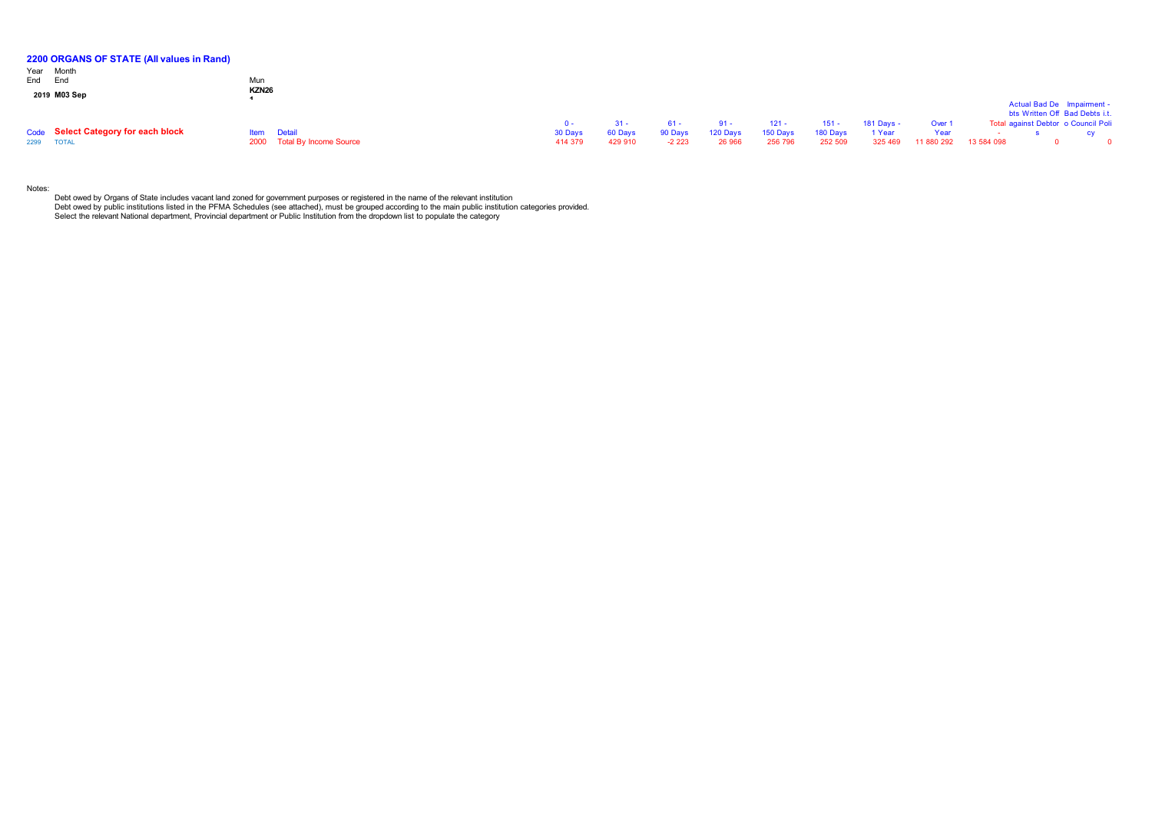| 2200 ORGANS OF STATE (All values in Rand) |                    |                             |         |         |         |          |          |          |            |            |            |                                     |  |
|-------------------------------------------|--------------------|-----------------------------|---------|---------|---------|----------|----------|----------|------------|------------|------------|-------------------------------------|--|
| Year Month                                |                    |                             |         |         |         |          |          |          |            |            |            |                                     |  |
| End End                                   | Mun                |                             |         |         |         |          |          |          |            |            |            |                                     |  |
| 2019 M03 Sep                              | KZN <sub>26</sub>  |                             |         |         |         |          |          |          |            |            |            |                                     |  |
|                                           |                    |                             |         |         |         |          |          |          |            |            |            | Actual Bad De Impairment -          |  |
|                                           |                    |                             |         |         |         |          |          |          |            |            |            | bts Written Off Bad Debts i.t.      |  |
|                                           |                    |                             | $0 -$   | $31 -$  | 61 -    | $91 -$   | $121 -$  | $151 -$  | 181 Days - | Over       |            | Total against Debtor o Council Poli |  |
| Code Select Category for each block       | <b>Item</b> Detail |                             | 30 Days | 60 Days | 90 Days | 120 Days | 150 Days | 180 Days | 1 Year     | Year       |            |                                     |  |
| 2299 TOTAL                                |                    | 2000 Total By Income Source | 414 379 | 429 910 | $-2223$ | 26 966   | 256 796  | 252 509  | 325 469    | 11 880 292 | 13 584 098 |                                     |  |

Notes:

Debt owed by Organs of State includes vacant land zoned for government purposes or registered in the name of the relevant institution<br>Debt owed by public institutions listed in the PFMA Schedules (see attached), must be gr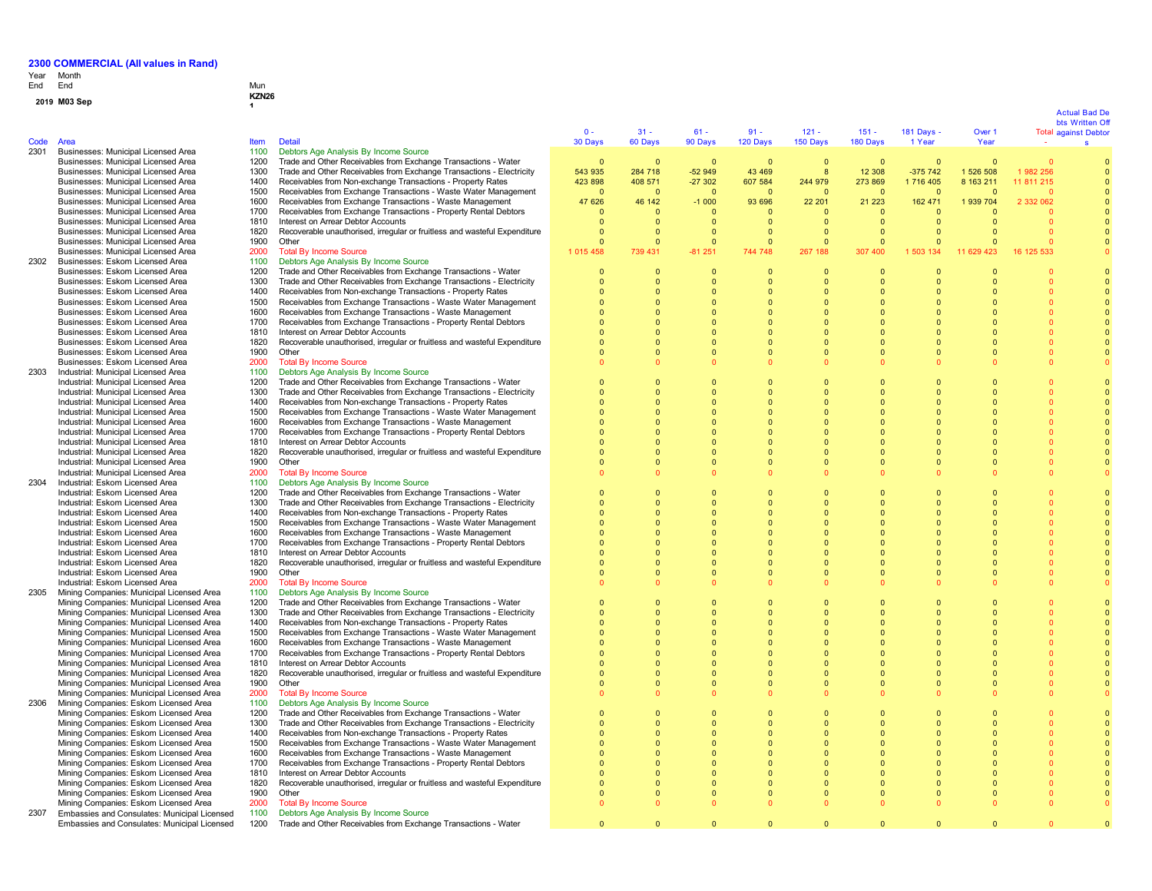# Year End Month End Mun

# **0 1 <sup>9</sup> M03 Sep KZN26 <sup>1</sup>**

|      |                                                                                        |              |                                                                                                                                        | $0 -$                    | $31 -$                     | $61 -$                     | $91 -$                   | $121 -$                    | $151 -$                  | <b>181 Days -</b>    | Over 1     |            | <b>Actual Bad De</b><br>bts Written Of<br><b>Total against Debtor</b> |
|------|----------------------------------------------------------------------------------------|--------------|----------------------------------------------------------------------------------------------------------------------------------------|--------------------------|----------------------------|----------------------------|--------------------------|----------------------------|--------------------------|----------------------|------------|------------|-----------------------------------------------------------------------|
| Code | Area                                                                                   | Item         | <b>Detail</b>                                                                                                                          | 30 Days                  | 60 Days                    | 90 Days                    | 120 Days                 | 150 Days                   | 180 Days                 | 1 Year               | Year       | $\sim$     | s                                                                     |
| 2301 | Businesses: Municipal Licensed Area<br>Businesses: Municipal Licensed Area             | 1100<br>1200 | Debtors Age Analysis By Income Source<br>Trade and Other Receivables from Exchange Transactions - Water                                | $\overline{0}$           | $\mathbf{0}$               | $\Omega$                   | $\overline{0}$           | $\overline{0}$             | $\mathbf{0}$             | $\Omega$             | $\Omega$   |            |                                                                       |
|      | Businesses: Municipal Licensed Area                                                    | 1300         | Trade and Other Receivables from Exchange Transactions - Electricity                                                                   | 543 935                  | 284 718                    | $-52949$                   | 43 469                   | 8                          | 12 308                   | $-375742$            | 1 526 508  | 1982 256   |                                                                       |
|      | Businesses: Municipal Licensed Area                                                    | 1400         | Receivables from Non-exchange Transactions - Property Rates                                                                            | 423 898                  | 408 571                    | $-27302$                   | 607 584                  | 244 979                    | 273 869                  | 1 716 405            | 8 163 211  | 11 811 215 |                                                                       |
|      | Businesses: Municipal Licensed Area                                                    | 1500         | Receivables from Exchange Transactions - Waste Water Management                                                                        | $\Omega$                 | $\Omega$                   | $\Omega$                   | $\Omega$                 | $\overline{0}$             | $\Omega$                 | $\Omega$             |            |            |                                                                       |
|      | Businesses: Municipal Licensed Area                                                    | 1600         | Receivables from Exchange Transactions - Waste Management                                                                              | 47 626                   | 46 142                     | $-1000$                    | 93 696                   | 22 201                     | 21 223                   | 162 471              | 1 939 704  | 2 332 062  |                                                                       |
|      | Businesses: Municipal Licensed Area                                                    | 1700         | Receivables from Exchange Transactions - Property Rental Debtors                                                                       | $\Omega$                 | $\Omega$                   | - 0                        | - 0                      | $\Omega$                   | $\Omega$                 | $\Omega$             |            |            |                                                                       |
|      | Businesses: Municipal Licensed Area                                                    | 1810         | Interest on Arrear Debtor Accounts                                                                                                     | $\Omega$                 | $\Omega$                   | $\Omega$                   | $\Omega$                 | $\Omega$                   | $\Omega$                 | $\Omega$             |            |            |                                                                       |
|      | Businesses: Municipal Licensed Area                                                    | 1820         | Recoverable unauthorised, irregular or fruitless and wasteful Expenditure                                                              | $\Omega$                 | $\mathbf{0}$               | $\Omega$                   | 0                        | $\overline{0}$             | $\mathbf{0}$             | $\Omega$             |            |            |                                                                       |
|      | Businesses: Municipal Licensed Area                                                    | 1900         | Other                                                                                                                                  | $\mathbf{0}$             | $\mathbf{0}$               | $\Omega$                   | $\Omega$                 | $\overline{0}$             | $\mathbf{0}$             | $\Omega$             |            |            |                                                                       |
|      | Businesses: Municipal Licensed Area                                                    | 2000         | <b>Total By Income Source</b>                                                                                                          | 1 0 1 5 4 5 8            | 739 431                    | $-81251$                   | 744 748                  | 267<br>188                 | 307 400                  | 1 503 134            | 11 629 423 | 16 125 533 |                                                                       |
| 2302 | Businesses: Eskom Licensed Area                                                        | 1100         | Debtors Age Analysis By Income Source                                                                                                  |                          |                            |                            |                          |                            |                          |                      |            |            |                                                                       |
|      | Businesses: Eskom Licensed Area                                                        | 1200<br>1300 | Trade and Other Receivables from Exchange Transactions - Water<br>Trade and Other Receivables from Exchange Transactions - Electricity | $\mathbf{0}$<br>$\Omega$ | $\mathbf{0}$<br>$\Omega$   | $\overline{0}$<br>$\Omega$ | $\mathbf{0}$<br>$\Omega$ | $\overline{0}$<br>$\Omega$ | $\mathbf{0}$<br>$\Omega$ | $\Omega$<br>$\Omega$ |            |            |                                                                       |
|      | Businesses: Eskom Licensed Area<br>Businesses: Eskom Licensed Area                     | 1400         | Receivables from Non-exchange Transactions - Property Rates                                                                            |                          | $\Omega$                   |                            |                          | $\Omega$                   | $\Omega$                 |                      |            |            |                                                                       |
|      | Businesses: Eskom Licensed Area                                                        | 1500         | Receivables from Exchange Transactions - Waste Water Management                                                                        | $\Omega$                 | $\Omega$                   | $\Omega$                   | $\Omega$                 | $\Omega$                   | $\Omega$                 |                      |            |            |                                                                       |
|      | Businesses: Eskom Licensed Area                                                        | 1600         | Receivables from Exchange Transactions - Waste Management                                                                              | $\Omega$                 | $\Omega$                   | $\Omega$                   | $\Omega$                 | $\Omega$                   | $\Omega$                 | $\Omega$             |            |            |                                                                       |
|      | Businesses: Eskom Licensed Area                                                        | 1700         | Receivables from Exchange Transactions - Property Rental Debtors                                                                       | $\Omega$                 | $\Omega$                   | $\Omega$                   | $\Omega$                 | $\Omega$                   | $\Omega$                 | $\Omega$             |            | $\Omega$   |                                                                       |
|      | Businesses: Eskom Licensed Area                                                        | 1810         | Interest on Arrear Debtor Accounts                                                                                                     | $\Omega$                 | $\Omega$                   | $\Omega$                   | $\Omega$                 | $\Omega$                   | $\Omega$                 | $\Omega$             |            | $\Omega$   |                                                                       |
|      | Businesses: Eskom Licensed Area                                                        | 1820         | Recoverable unauthorised, irregular or fruitless and wasteful Expenditure                                                              | $\overline{0}$           | $\mathbf{0}$               | $\mathbf{0}$               | $\Omega$                 | $\overline{0}$             | $\mathbf{0}$             | $\Omega$             | $\Omega$   |            |                                                                       |
|      | Businesses: Eskom Licensed Area                                                        | 1900         | Other                                                                                                                                  | $\Omega$                 | $\Omega$                   | $\Omega$                   |                          |                            | $\Omega$                 | $\Omega$             |            |            |                                                                       |
|      | Businesses: Eskom Licensed Area                                                        | 2000         | <b>Total By Income Source</b>                                                                                                          |                          | $\Omega$                   |                            |                          |                            | $\Omega$                 |                      |            |            |                                                                       |
| 2303 | Industrial: Municipal Licensed Area                                                    | 1100         | Debtors Age Analysis By Income Source                                                                                                  |                          |                            |                            |                          |                            |                          |                      |            |            |                                                                       |
|      | Industrial: Municipal Licensed Area                                                    | 1200         | Trade and Other Receivables from Exchange Transactions - Water                                                                         | $\Omega$                 | $\Omega$                   | $\Omega$                   | $\Omega$                 | $\Omega$                   | $\Omega$                 | $\Omega$             |            |            |                                                                       |
|      | Industrial: Municipal Licensed Area                                                    | 1300         | Trade and Other Receivables from Exchange Transactions - Electricity                                                                   | $\Omega$                 | $\Omega$                   | $\Omega$                   | $\Omega$                 | $\Omega$                   | $\Omega$<br>$\Omega$     | $\Omega$             | $\Omega$   |            |                                                                       |
|      | Industrial: Municipal Licensed Area<br>Industrial: Municipal Licensed Area             | 1400<br>1500 | Receivables from Non-exchange Transactions - Property Rates<br>Receivables from Exchange Transactions - Waste Water Management         | $\Omega$                 | $\mathbf 0$<br>$\mathbf 0$ | $\Omega$                   |                          | $\Omega$                   | $\Omega$                 | $\Omega$<br>n        |            |            |                                                                       |
|      | Industrial: Municipal Licensed Area                                                    | 1600         | Receivables from Exchange Transactions - Waste Management                                                                              | $\Omega$                 | $\Omega$                   |                            |                          | $\Omega$                   | $\Omega$                 | $\Omega$             |            |            |                                                                       |
|      | Industrial: Municipal Licensed Area                                                    | 1700         | Receivables from Exchange Transactions - Property Rental Debtors                                                                       | $\Omega$                 | $\Omega$                   | $\Omega$                   |                          | $\Omega$                   | $\Omega$                 | $\Omega$             |            |            |                                                                       |
|      | Industrial: Municipal Licensed Area                                                    | 1810         | Interest on Arrear Debtor Accounts                                                                                                     | $\Omega$                 | $\Omega$                   | $\Omega$                   | $\Omega$                 | $\Omega$                   | $\Omega$                 | $\Omega$             |            |            |                                                                       |
|      | Industrial: Municipal Licensed Area                                                    | 1820         | Recoverable unauthorised, irregular or fruitless and wasteful Expenditure                                                              | $\Omega$                 | $\Omega$                   | $\Omega$                   | $\Omega$                 | $\Omega$                   | $\Omega$                 | n                    |            |            |                                                                       |
|      | Industrial: Municipal Licensed Area                                                    | 1900         | Other                                                                                                                                  | $\Omega$                 | $\Omega$                   | $\Omega$                   | $\Omega$                 | $\Omega$                   | $\Omega$                 | $\Omega$             | $\Omega$   |            |                                                                       |
|      | Industrial: Municipal Licensed Area                                                    | 2000         | <b>Total By Income Source</b>                                                                                                          |                          | $\Omega$                   |                            |                          |                            |                          |                      |            |            |                                                                       |
| 2304 | Industrial: Eskom Licensed Area                                                        | 1100         | Debtors Age Analysis By Income Source                                                                                                  |                          |                            |                            |                          |                            |                          |                      |            |            |                                                                       |
|      | Industrial: Eskom Licensed Area                                                        | 1200         | Trade and Other Receivables from Exchange Transactions - Water                                                                         | $\Omega$                 | $\Omega$                   | $\Omega$                   | $\Omega$                 | $\Omega$                   | $\Omega$                 | $\Omega$             |            |            |                                                                       |
|      | Industrial: Eskom Licensed Area                                                        | 1300         | Trade and Other Receivables from Exchange Transactions - Electricity                                                                   | $\Omega$                 | $\Omega$                   | $\Omega$                   | $\Omega$                 | $\overline{0}$             | $\Omega$                 | $\Omega$             |            |            |                                                                       |
|      | Industrial: Eskom Licensed Area                                                        | 1400         | Receivables from Non-exchange Transactions - Property Rates                                                                            | $\Omega$                 | $\Omega$                   | $\Omega$                   | $\Omega$                 | $\mathbf 0$                | $\Omega$                 | $\Omega$             |            |            |                                                                       |
|      | Industrial: Eskom Licensed Area                                                        | 1500<br>1600 | Receivables from Exchange Transactions - Waste Water Management<br>Receivables from Exchange Transactions - Waste Management           | $\Omega$                 | $\Omega$<br>$\Omega$       | 0                          | $\Omega$                 | $\Omega$<br>$\Omega$       | $\Omega$<br>$\Omega$     | $\Omega$             |            |            |                                                                       |
|      | Industrial: Eskom Licensed Area<br>Industrial: Eskom Licensed Area                     | 1700         | Receivables from Exchange Transactions - Property Rental Debtors                                                                       |                          | $\Omega$                   | $\Omega$                   | $\Omega$                 | $\Omega$                   | $\Omega$                 |                      |            |            |                                                                       |
|      | Industrial: Eskom Licensed Area                                                        | 1810         | Interest on Arrear Debtor Accounts                                                                                                     | $\Omega$                 | $\Omega$                   | $\Omega$                   | $\Omega$                 | $\Omega$                   | $\Omega$                 | $\Omega$             |            | $\Omega$   |                                                                       |
|      | Industrial: Eskom Licensed Area                                                        | 1820         | Recoverable unauthorised, irregular or fruitless and wasteful Expenditure                                                              | $\Omega$                 | $\Omega$                   | $\Omega$                   | $\Omega$                 | $\Omega$                   | $\Omega$                 | $\Omega$             |            | $\Omega$   |                                                                       |
|      | Industrial: Eskom Licensed Area                                                        | 1900         | Other                                                                                                                                  | $\Omega$                 | $\Omega$                   | $\Omega$                   | $\Omega$                 | $\Omega$                   | $\Omega$                 | $\Omega$             | $\Omega$   | $\Omega$   |                                                                       |
|      | Industrial: Eskom Licensed Area                                                        | 2000         | <b>Total By Income Source</b>                                                                                                          | $\Omega$                 | $\mathbf{0}$               | $\Omega$                   |                          |                            | $\Omega$                 |                      |            |            |                                                                       |
| 2305 | Mining Companies: Municipal Licensed Area                                              | 1100         | Debtors Age Analysis By Income Source                                                                                                  |                          |                            |                            |                          |                            |                          |                      |            |            |                                                                       |
|      | Mining Companies: Municipal Licensed Area                                              | 1200         | Trade and Other Receivables from Exchange Transactions - Water                                                                         | $\Omega$                 | $\Omega$                   | $\Omega$                   | $\Omega$                 | $\Omega$                   | $\Omega$                 | $\Omega$             |            |            |                                                                       |
|      | Mining Companies: Municipal Licensed Area                                              | 1300         | Trade and Other Receivables from Exchange Transactions - Electricity                                                                   | $\Omega$                 | $\Omega$                   | $\Omega$                   | $\Omega$                 | $\Omega$                   | $\Omega$                 | $\Omega$             | $\Omega$   | $\Omega$   |                                                                       |
|      | Mining Companies: Municipal Licensed Area                                              | 1400         | Receivables from Non-exchange Transactions - Property Rates                                                                            | $\Omega$                 | $\Omega$                   | $\Omega$                   | n                        | $\Omega$                   | $\Omega$                 | $\Omega$             |            | $\Omega$   |                                                                       |
|      | Mining Companies: Municipal Licensed Area                                              | 1500         | Receivables from Exchange Transactions - Waste Water Management                                                                        | $\Omega$                 | $\Omega$                   | $\Omega$                   |                          | $\Omega$                   | $\Omega$                 | $\Omega$             |            |            |                                                                       |
|      | Mining Companies: Municipal Licensed Area                                              | 1600         | Receivables from Exchange Transactions - Waste Management<br>Receivables from Exchange Transactions - Property Rental Debtors          | $\Omega$                 | $\mathbf 0$                | $\Omega$                   |                          |                            | $\Omega$<br>$\Omega$     | n                    |            |            |                                                                       |
|      | Mining Companies: Municipal Licensed Area<br>Mining Companies: Municipal Licensed Area | 1700<br>1810 | Interest on Arrear Debtor Accounts                                                                                                     | $\Omega$                 | $\mathbf 0$<br>$\Omega$    | $\Omega$                   |                          | $\Omega$                   | $\Omega$                 | $\Omega$             |            |            |                                                                       |
|      | Mining Companies: Municipal Licensed Area                                              | 1820         | Recoverable unauthorised, irregular or fruitless and wasteful Expenditure                                                              | $\Omega$                 | $\Omega$                   | $\Omega$                   | $\Omega$                 | $\Omega$                   | $\Omega$                 | $\Omega$             |            |            |                                                                       |
|      | Mining Companies: Municipal Licensed Area                                              | 1900         | Other                                                                                                                                  | $\Omega$                 | $\Omega$                   | $\Omega$                   | $\Omega$                 | $\Omega$                   | $\Omega$                 | $\Omega$             |            |            |                                                                       |
|      | Mining Companies: Municipal Licensed Area                                              | 2000         | <b>Total By Income Source</b>                                                                                                          | $\Omega$                 | $\Omega$                   |                            |                          |                            |                          |                      |            |            |                                                                       |
| 2306 | Mining Companies: Eskom Licensed Area                                                  | 1100         | Debtors Age Analysis By Income Source                                                                                                  |                          |                            |                            |                          |                            |                          |                      |            |            |                                                                       |
|      | Mining Companies: Eskom Licensed Area                                                  | 1200         | Trade and Other Receivables from Exchange Transactions - Water                                                                         | $\Omega$                 | $\Omega$                   | $\Omega$                   |                          | $\Omega$                   | $\Omega$                 |                      |            |            |                                                                       |
|      | Mining Companies: Eskom Licensed Area                                                  | 1300         | Trade and Other Receivables from Exchange Transactions - Electricity                                                                   | $\Omega$                 | $\Omega$                   | $\Omega$                   |                          | $\overline{0}$             | $\Omega$                 | $\Omega$             |            |            |                                                                       |
|      | Mining Companies: Eskom Licensed Area                                                  | 1400         | Receivables from Non-exchange Transactions - Property Rates                                                                            | $\Omega$                 | $\Omega$                   | $\Omega$                   | $\Omega$                 | $\Omega$                   | $\Omega$                 | $\Omega$             |            | $\Omega$   |                                                                       |
|      | Mining Companies: Eskom Licensed Area                                                  | 1500         | Receivables from Exchange Transactions - Waste Water Management                                                                        | $\Omega$                 | $\Omega$                   | $\Omega$                   | $\Omega$                 | $\overline{0}$             | $\Omega$                 | $\Omega$             |            |            |                                                                       |
|      | Mining Companies: Eskom Licensed Area                                                  | 1600         | Receivables from Exchange Transactions - Waste Management                                                                              | $\Omega$                 | $\mathbf{0}$               | $\Omega$                   | $\Omega$                 | $\overline{0}$             | $\Omega$                 | $\Omega$             |            |            |                                                                       |
|      | Mining Companies: Eskom Licensed Area                                                  | 1700<br>1810 | Receivables from Exchange Transactions - Property Rental Debtors                                                                       |                          | $\Omega$<br>$\Omega$       | $\Omega$                   |                          | $\Omega$<br>$\Omega$       | $\Omega$<br>$\Omega$     |                      |            |            |                                                                       |
|      | Mining Companies: Eskom Licensed Area<br>Mining Companies: Eskom Licensed Area         | 1820         | Interest on Arrear Debtor Accounts<br>Recoverable unauthorised, irregular or fruitless and wasteful Expenditure                        |                          | $\Omega$                   | $\Omega$                   | $\Omega$                 | $\Omega$                   | $\Omega$                 |                      |            |            |                                                                       |
|      | Mining Companies: Eskom Licensed Area                                                  | 1900         | Other                                                                                                                                  | $\Omega$                 | $\Omega$                   | $\Omega$                   | $\Omega$                 | $\Omega$                   | $\Omega$                 | $\Omega$             |            |            |                                                                       |
|      | Mining Companies: Eskom Licensed Area                                                  | 2000         | <b>Total By Income Source</b>                                                                                                          | $\Omega$                 | $\Omega$                   | $\Omega$                   |                          |                            | $\Omega$                 |                      |            |            |                                                                       |
| 2307 | Embassies and Consulates: Municipal Licensed                                           | 1100         | Debtors Age Analysis By Income Source                                                                                                  |                          |                            |                            |                          |                            |                          |                      |            |            |                                                                       |
|      | Embassies and Consulates: Municipal Licensed                                           | 1200         | Trade and Other Receivables from Exchange Transactions - Water                                                                         | $\Omega$                 | $\mathbf{0}$               | $\Omega$                   | $\mathbf{0}$             | $\overline{0}$             | $\mathbf{0}$             | $\Omega$             | $\Omega$   |            |                                                                       |
|      |                                                                                        |              |                                                                                                                                        |                          |                            |                            |                          |                            |                          |                      |            |            |                                                                       |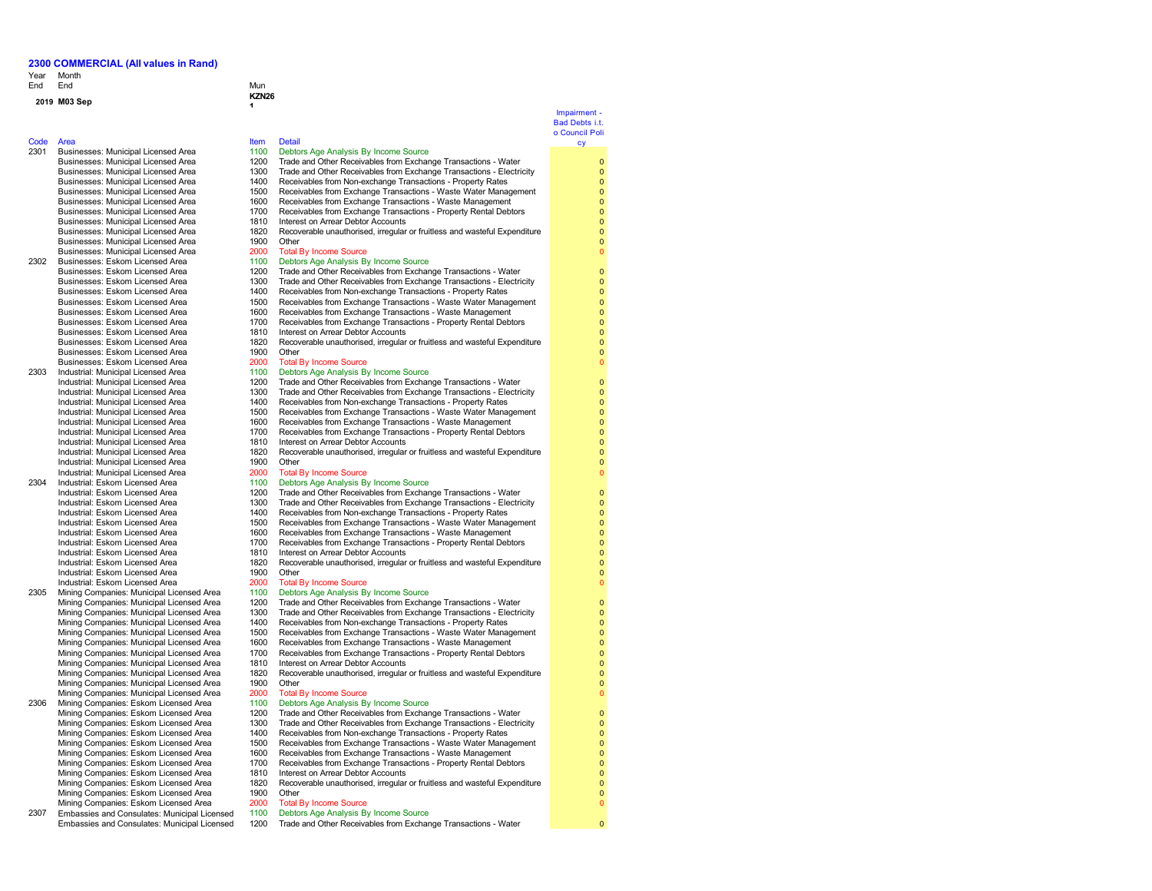### Year Month End End End Mun

## **2019 M03 Sep**

### Code Area

2301 Businesses: Municipal Licensed Area Businesses: Municipal Licensed Area Businesses: Municipal Licensed Area Businesses: Municipal Licensed Area Businesses: Municipal Licensed Area Businesses: Municipal Licensed Area Businesses: Municipal Licensed Area 2302 Businesses: Eskom Licensed Area Businesses: Eskom Licensed Area Businesses: Eskom Licensed Area Businesses: Eskom Licensed Area

- Businesses: Eskom Licensed Area Businesses: Eskom Licensed Area 2303 Industrial: Municipal Licensed Area
- Industrial: Municipal Licensed Area Industrial: Municipal Licensed Area Industrial: Municipal Licensed Area Industrial: Municipal Licensed Area Industrial: Municipal Licensed Area Industrial: Municipal Licensed Area 2304 Industrial: Eskom Licensed Area
	- Industrial: Eskom Licensed Area Industrial: Eskom Licensed Area Industrial: Eskom Licensed Area Industrial: Eskom Licensed Area Industrial: Eskom Licensed Area
- Industrial: Eskom Licensed Area 2305 Mining Companies: Municipal Licensed Area
	- Mining Companies: Municipal Licensed Area Mining Companies: Municipal Licensed Area Mining Companies: Municipal Licensed Area Mining Companies: Municipal Licensed Area
	- Mining Companies: Municipal Licensed Area Mining Companies: Municipal Licensed Area
- 2306 Mining Companies: Eskom Licensed Area Mining Companies: Eskom Licensed Area 1400 Receivables from Non-exchange Transactions - Property Rates<br>Mining Companies: Eskom Licensed Area 1500 Receivables from Exchange Transactions - Waste Water Manac Mining Companies: Eskom Licensed Area 1500 Receivables from Exchange Transactions - Waste Water Management<br>Mining Companies: Eskom Licensed Area 1600 Receivables from Exchange Transactions - Waste Management Mining Companies: Eskom Licensed Area 1600 Receivables from Exchange Transactions - Waste Management<br>Mining Companies: Eskom Licensed Area 1700 Receivables from Exchange Transactions - Property Rental Debt Mining Companies: Eskom Licensed Area 1810<br>Mining Companies: Eskom Licensed Area 1820 Mining Companies: Eskom Licensed Area 1900 Other<br>Mining Companies: Eskom Licensed Area 2000 Total By Income Source
- Mining Companies: Eskom Licensed Area 2000<br>Embassies and Consulates: Municipal Licensed 1100 2307 Embassies and Consulates: Municipal Licensed Embassies and Consulates: Municipal Licensed

| End                                                                        | Mun               |                                                                                                        |
|----------------------------------------------------------------------------|-------------------|--------------------------------------------------------------------------------------------------------|
| M03 Sep                                                                    | <b>KZN26</b><br>4 |                                                                                                        |
|                                                                            |                   |                                                                                                        |
|                                                                            |                   |                                                                                                        |
| Area                                                                       | <b>Item</b>       | <b>Detail</b>                                                                                          |
| Businesses: Municipal Licensed Area                                        | 1100              | Debtors Age Analysis By Income Source                                                                  |
| Businesses: Municipal Licensed Area                                        | 1200              | Trade and Other Receivables from Exchange Transactions - Water                                         |
| Businesses: Municipal Licensed Area                                        | 1300              | Trade and Other Receivables from Exchange Transactions - Electricity                                   |
| Businesses: Municipal Licensed Area                                        | 1400              | Receivables from Non-exchange Transactions - Property Rates                                            |
| Businesses: Municipal Licensed Area                                        | 1500              | Receivables from Exchange Transactions - Waste Water Management                                        |
| Businesses: Municipal Licensed Area                                        | 1600              | Receivables from Exchange Transactions - Waste Management                                              |
| Businesses: Municipal Licensed Area                                        | 1700              | Receivables from Exchange Transactions - Property Rental Debtors                                       |
| Businesses: Municipal Licensed Area                                        | 1810              | Interest on Arrear Debtor Accounts                                                                     |
| Businesses: Municipal Licensed Area                                        | 1820              | Recoverable unauthorised, irregular or fruitless and wasteful Expenditure                              |
| Businesses: Municipal Licensed Area                                        | 1900              | Other                                                                                                  |
| Businesses: Municipal Licensed Area                                        | 2000              | <b>Total By Income Source</b>                                                                          |
| Businesses: Eskom Licensed Area                                            | 1100              | Debtors Age Analysis By Income Source                                                                  |
| Businesses: Eskom Licensed Area                                            | 1200              | Trade and Other Receivables from Exchange Transactions - Water                                         |
| Businesses: Eskom Licensed Area                                            | 1300              | Trade and Other Receivables from Exchange Transactions - Electricity                                   |
| Businesses: Eskom Licensed Area                                            | 1400              | Receivables from Non-exchange Transactions - Property Rates                                            |
| Businesses: Eskom Licensed Area                                            | 1500              | Receivables from Exchange Transactions - Waste Water Management                                        |
| Businesses: Eskom Licensed Area                                            | 1600              | Receivables from Exchange Transactions - Waste Management                                              |
| Businesses: Eskom Licensed Area                                            | 1700              | Receivables from Exchange Transactions - Property Rental Debtors                                       |
| Businesses: Eskom Licensed Area                                            | 1810              | Interest on Arrear Debtor Accounts                                                                     |
| Businesses: Eskom Licensed Area                                            | 1820              | Recoverable unauthorised, irregular or fruitless and wasteful Expenditure                              |
| Businesses: Eskom Licensed Area                                            | 1900              | Other                                                                                                  |
| Businesses: Eskom Licensed Area                                            | 2000              | <b>Total By Income Source</b>                                                                          |
| Industrial: Municipal Licensed Area                                        | 1100              | Debtors Age Analysis By Income Source                                                                  |
| Industrial: Municipal Licensed Area                                        | 1200              | Trade and Other Receivables from Exchange Transactions - Water                                         |
| Industrial: Municipal Licensed Area                                        | 1300              | Trade and Other Receivables from Exchange Transactions - Electricity                                   |
| Industrial: Municipal Licensed Area                                        | 1400              | Receivables from Non-exchange Transactions - Property Rates                                            |
| Industrial: Municipal Licensed Area                                        | 1500              | Receivables from Exchange Transactions - Waste Water Management                                        |
| Industrial: Municipal Licensed Area                                        | 1600              | Receivables from Exchange Transactions - Waste Management                                              |
| Industrial: Municipal Licensed Area<br>Industrial: Municipal Licensed Area | 1700<br>1810      | Receivables from Exchange Transactions - Property Rental Debtors<br>Interest on Arrear Debtor Accounts |
| Industrial: Municipal Licensed Area                                        | 1820              | Recoverable unauthorised, irregular or fruitless and wasteful Expenditure                              |
| Industrial: Municipal Licensed Area                                        | 1900              | Other                                                                                                  |
| Industrial: Municipal Licensed Area                                        | 2000              | <b>Total By Income Source</b>                                                                          |
| Industrial: Eskom Licensed Area                                            | 1100              | Debtors Age Analysis By Income Source                                                                  |
| Industrial: Eskom Licensed Area                                            | 1200              | Trade and Other Receivables from Exchange Transactions - Water                                         |
| Industrial: Eskom Licensed Area                                            | 1300              | Trade and Other Receivables from Exchange Transactions - Electricity                                   |
| Industrial: Eskom Licensed Area                                            | 1400              | Receivables from Non-exchange Transactions - Property Rates                                            |
| Industrial: Eskom Licensed Area                                            | 1500              | Receivables from Exchange Transactions - Waste Water Management                                        |
| Industrial: Eskom Licensed Area                                            | 1600              | Receivables from Exchange Transactions - Waste Management                                              |
| Industrial: Eskom Licensed Area                                            | 1700              | Receivables from Exchange Transactions - Property Rental Debtors                                       |
| Industrial: Eskom Licensed Area                                            | 1810              | Interest on Arrear Debtor Accounts                                                                     |
| Industrial: Eskom Licensed Area                                            | 1820              | Recoverable unauthorised, irregular or fruitless and wasteful Expenditure                              |
| Industrial: Eskom Licensed Area                                            | 1900              | Other                                                                                                  |
| Industrial: Eskom Licensed Area                                            | 2000              | <b>Total By Income Source</b>                                                                          |
| Mining Companies: Municipal Licensed Area                                  | 1100              | Debtors Age Analysis By Income Source                                                                  |
| Mining Companies: Municipal Licensed Area                                  | 1200              | Trade and Other Receivables from Exchange Transactions - Water                                         |
| Mining Companies: Municipal Licensed Area                                  | 1300              | Trade and Other Receivables from Exchange Transactions - Electricity                                   |
| Mining Companies: Municipal Licensed Area                                  | 1400              | Receivables from Non-exchange Transactions - Property Rates                                            |
| Mining Companies: Municipal Licensed Area                                  | 1500              | Receivables from Exchange Transactions - Waste Water Management                                        |
| Mining Companies: Municipal Licensed Area                                  | 1600              | Receivables from Exchange Transactions - Waste Management                                              |
| Mining Companies: Municipal Licensed Area                                  | 1700              | Receivables from Exchange Transactions - Property Rental Debtors                                       |
| Mining Companies: Municipal Licensed Area                                  | 1810              | Interest on Arrear Debtor Accounts                                                                     |
| Mining Companies: Municipal Licensed Area                                  | 1820              | Recoverable unauthorised, irregular or fruitless and wasteful Expenditure                              |
| Mining Companies: Municipal Licensed Area                                  | 1900              | Other                                                                                                  |
| Mining Companies: Municipal Licensed Area                                  | 2000              | <b>Total By Income Source</b>                                                                          |
| Mining Companies: Eskom Licensed Area                                      | 1100              | Debtors Age Analysis By Income Source                                                                  |
| Mining Companies: Eskom Licensed Area                                      | 1200              | Trade and Other Receivables from Exchange Transactions - Water                                         |
| Mining Companies: Eskom Licensed Area                                      | 1300              | Trade and Other Receivables from Exchange Transactions - Electricity                                   |
| Mining Companies: Eskom Licensed Area                                      | 1400              | Receivables from Non-exchange Transactions - Property Rates                                            |

- 
- 
- Receivables from Exchange Transactions Property Rental Debtors<br>Interest on Arrear Debtor Accounts
- 
- 1820 Recoverable unauthorised, irregular or fruitless and wasteful Expenditure<br>1900 Other
- 
- 
- Debtors Age Analysis By Income Source
- 1200 Trade and Other Receivables from Exchange Transactions Water

### Impairment - Bad Debts i.t. o Council Poli cy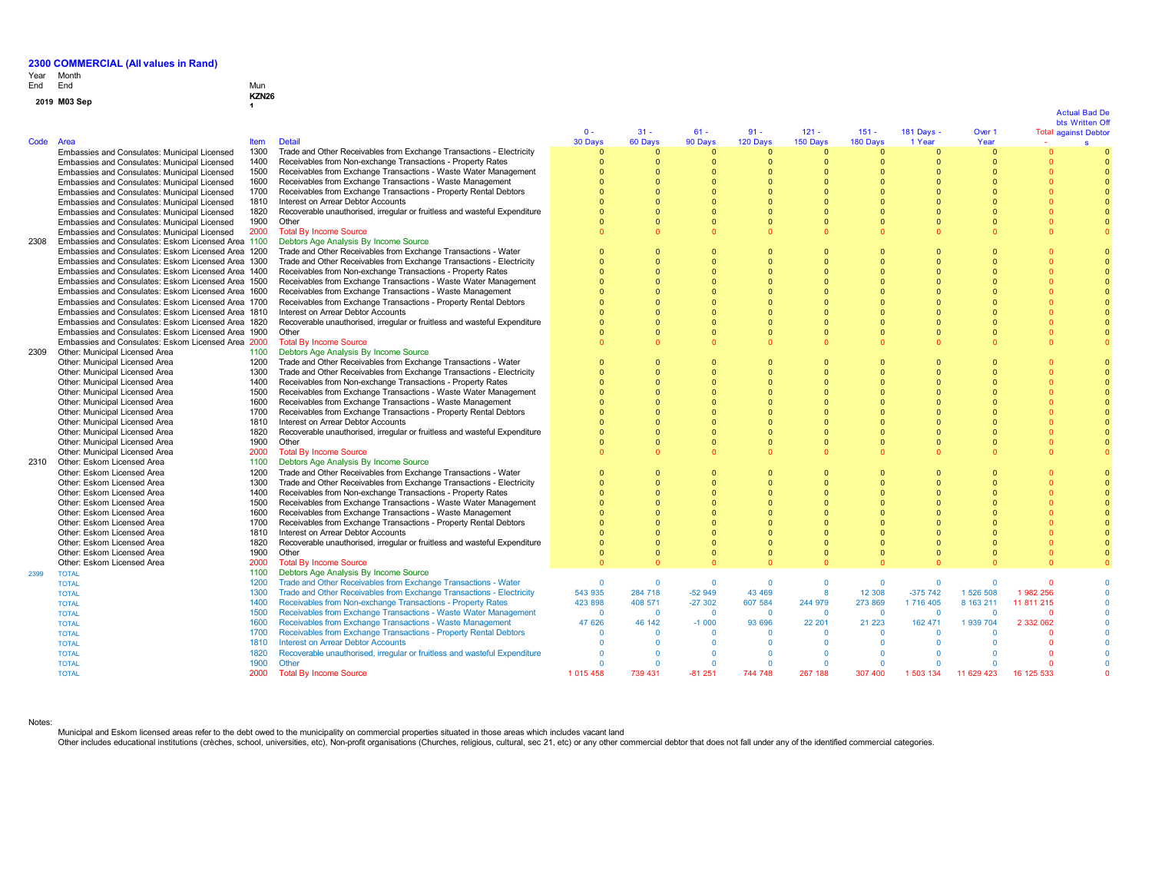**1**

# Year End Month End Mun

# **<sup>2019</sup> M03 Sep KZN26**

|  | 2019 M03 Sep |  |
|--|--------------|--|
|--|--------------|--|

|      |                                                    |             |                                                                           |               |          |          |              |                         |              |            |            |            | Avual Dau Do<br>bts Written Off |
|------|----------------------------------------------------|-------------|---------------------------------------------------------------------------|---------------|----------|----------|--------------|-------------------------|--------------|------------|------------|------------|---------------------------------|
|      |                                                    |             |                                                                           | $0 -$         | $31 -$   | $61 -$   | $91 -$       | $121 -$                 | $151 -$      | 181 Days - | Over 1     |            | <b>Total against Debtor</b>     |
| Code | Area                                               | <b>Item</b> | <b>Detail</b>                                                             | 30 Days       | 60 Days  | 90 Days  | 120 Days     | 150 Days                | 180 Days     | 1 Year     | Year       |            | <b>s</b>                        |
|      | Embassies and Consulates: Municipal Licensed       | 1300        | Trade and Other Receivables from Exchange Transactions - Electricity      | $\Omega$      | $\Omega$ | $\Omega$ | $\Omega$     | $\Omega$                | $\Omega$     | $\Omega$   | $\Omega$   |            |                                 |
|      | Embassies and Consulates: Municipal Licensed       | 1400        | Receivables from Non-exchange Transactions - Property Rates               | $\Omega$      | $\Omega$ | $\Omega$ | $\Omega$     | $\Omega$                | $\Omega$     | $\Omega$   | $\Omega$   |            |                                 |
|      | Embassies and Consulates: Municipal Licensed       | 1500        | Receivables from Exchange Transactions - Waste Water Management           | $\Omega$      | $\Omega$ |          | $\Omega$     | $\Omega$                | $\Omega$     | $\Omega$   |            |            |                                 |
|      | Embassies and Consulates: Municipal Licensed       | 1600        | Receivables from Exchange Transactions - Waste Management                 | $\Omega$      |          |          |              |                         | $\Omega$     | $\Omega$   |            |            |                                 |
|      | Embassies and Consulates: Municipal Licensed       | 1700        | Receivables from Exchange Transactions - Property Rental Debtors          | $\Omega$      | $\Omega$ |          | $\Omega$     | $\Omega$                | $\Omega$     | $\Omega$   |            |            |                                 |
|      | Embassies and Consulates: Municipal Licensed       | 1810        | Interest on Arrear Debtor Accounts                                        | $\Omega$      | $\Omega$ |          | $\Omega$     | $\sqrt{ }$              | $\Omega$     | $\Omega$   |            |            |                                 |
|      | Embassies and Consulates: Municipal Licensed       | 1820        | Recoverable unauthorised, irregular or fruitless and wasteful Expenditure | $\Omega$      | $\Omega$ |          | $\Omega$     | $\Omega$                | $\Omega$     |            |            |            |                                 |
|      | Embassies and Consulates: Municipal Licensed       | 1900        | Other                                                                     | $\Omega$      | $\Omega$ | $\Omega$ | $\Omega$     | $\Omega$                | $\mathbf{0}$ | $\Omega$   |            | $\Omega$   | $\overline{0}$                  |
|      | Embassies and Consulates: Municipal Licensed       | 2000        | <b>Total By Income Source</b>                                             |               | n        |          | $\Omega$     | $\Omega$                | $\Omega$     |            |            | $\Omega$   |                                 |
| 2308 | Embassies and Consulates: Eskom Licensed Area 1100 |             | Debtors Age Analysis By Income Source                                     |               |          |          |              |                         |              |            |            |            |                                 |
|      | Embassies and Consulates: Eskom Licensed Area 1200 |             | Trade and Other Receivables from Exchange Transactions - Water            | $\Omega$      | n        |          | $\Omega$     | $\Omega$                | $\Omega$     | n          |            |            |                                 |
|      | Embassies and Consulates: Eskom Licensed Area 1300 |             | Trade and Other Receivables from Exchange Transactions - Electricity      | $\Omega$      | $\Omega$ | $\Omega$ | $\Omega$     | $\Omega$                | $\Omega$     | $\Omega$   |            |            |                                 |
|      | Embassies and Consulates: Eskom Licensed Area 1400 |             | Receivables from Non-exchange Transactions - Property Rates               | $\Omega$      | $\Omega$ |          | $\bullet$    | $\Omega$                | $\Omega$     | $\Omega$   |            |            |                                 |
|      | Embassies and Consulates: Eskom Licensed Area 1500 |             | Receivables from Exchange Transactions - Waste Water Management           | $\Omega$      | $\Omega$ |          |              | $\Omega$                | $\Omega$     |            |            |            |                                 |
|      | Embassies and Consulates: Eskom Licensed Area 1600 |             | Receivables from Exchange Transactions - Waste Management                 | $\Omega$      | $\Omega$ |          | $\Omega$     | $\Omega$                | $\Omega$     | $\Omega$   |            |            |                                 |
|      | Embassies and Consulates: Eskom Licensed Area 1700 |             | Receivables from Exchange Transactions - Property Rental Debtors          | $\Omega$      | $\Omega$ |          | $\Omega$     | $\Omega$                | $\Omega$     | $\Omega$   |            |            |                                 |
|      | Embassies and Consulates: Eskom Licensed Area 1810 |             | Interest on Arrear Debtor Accounts                                        | $\Omega$      | $\Omega$ |          | $\Omega$     | $\Omega$                | $\Omega$     |            |            |            |                                 |
|      | Embassies and Consulates: Eskom Licensed Area 1820 |             | Recoverable unauthorised, irregular or fruitless and wasteful Expenditure |               | $\Omega$ |          | $\Omega$     | $\Omega$                | $\Omega$     | $\Omega$   |            |            |                                 |
|      | Embassies and Consulates: Eskom Licensed Area 1900 |             | Other                                                                     | $\Omega$      | $\Omega$ |          | $\Omega$     | $\Omega$                | $\Omega$     | $\Omega$   |            |            | $\Omega$                        |
|      | Embassies and Consulates: Eskom Licensed Area 2000 |             |                                                                           | $\Omega$      | $\Omega$ |          | $\Omega$     | $\Omega$                | $\Omega$     |            |            |            |                                 |
|      | Other: Municipal Licensed Area                     | 1100        | <b>Total By Income Source</b><br>Debtors Age Analysis By Income Source    |               |          |          |              |                         |              |            |            |            |                                 |
| 2309 | Other: Municipal Licensed Area                     | 1200        | Trade and Other Receivables from Exchange Transactions - Water            | $\Omega$      | $\Omega$ |          | $\Omega$     | $\Omega$                | $\Omega$     | $\Omega$   |            |            |                                 |
|      |                                                    |             |                                                                           | $\Omega$      | $\Omega$ |          | $\Omega$     | $\Omega$                | $\Omega$     | $\Omega$   |            |            |                                 |
|      | Other: Municipal Licensed Area                     | 1300        | Trade and Other Receivables from Exchange Transactions - Electricity      | $\Omega$      | $\Omega$ |          |              | $\Omega$                | $\Omega$     | $\Omega$   |            |            |                                 |
|      | Other: Municipal Licensed Area                     | 1400        | Receivables from Non-exchange Transactions - Property Rates               |               |          |          | $\Omega$     |                         |              |            |            |            |                                 |
|      | Other: Municipal Licensed Area                     | 1500        | Receivables from Exchange Transactions - Waste Water Management           | $\Omega$      | $\Omega$ |          | $\Omega$     | $\Omega$                | $\Omega$     | $\Omega$   |            |            |                                 |
|      | Other: Municipal Licensed Area                     | 1600        | Receivables from Exchange Transactions - Waste Management                 | $\Omega$      | $\Omega$ |          | $\Omega$     |                         | $\Omega$     |            |            |            |                                 |
|      | Other: Municipal Licensed Area                     | 1700        | Receivables from Exchange Transactions - Property Rental Debtors          | $\Omega$      | $\Omega$ |          | $\Omega$     | $\Omega$                | $\Omega$     | $\Omega$   |            |            |                                 |
|      | Other: Municipal Licensed Area                     | 1810        | Interest on Arrear Debtor Accounts                                        | $\Omega$      | $\Omega$ |          | $\Omega$     |                         | $\Omega$     | $\Omega$   |            |            |                                 |
|      | Other: Municipal Licensed Area                     | 1820        | Recoverable unauthorised, irregular or fruitless and wasteful Expenditure | $\Omega$      | $\Omega$ |          | $\Omega$     | $\Omega$                | $\Omega$     | $\Omega$   |            |            |                                 |
|      | Other: Municipal Licensed Area                     | 1900        | Other                                                                     | $\Omega$      | $\Omega$ | $\Omega$ | $\Omega$     | $\Omega$                | $\Omega$     | $\Omega$   |            |            |                                 |
|      | Other: Municipal Licensed Area                     | 2000        | <b>Total By Income Source</b>                                             | $\Omega$      |          |          |              | $\Omega$                | $\Omega$     |            |            |            |                                 |
| 2310 | Other: Eskom Licensed Area                         | 1100        | Debtors Age Analysis By Income Source                                     |               |          |          |              |                         |              |            |            |            |                                 |
|      | Other: Eskom Licensed Area                         | 1200        | Trade and Other Receivables from Exchange Transactions - Water            | $\Omega$      | $\Omega$ |          | $\Omega$     | $\Omega$                | $\Omega$     | $\Omega$   |            |            |                                 |
|      | Other: Eskom Licensed Area                         | 1300        | Trade and Other Receivables from Exchange Transactions - Electricity      | $\Omega$      | $\Omega$ |          |              | $\Omega$                | $\Omega$     | $\Omega$   |            |            |                                 |
|      | Other: Eskom Licensed Area                         | 1400        | Receivables from Non-exchange Transactions - Property Rates               | $\Omega$      | $\Omega$ |          | $\Omega$     | $\Omega$                | $\Omega$     | $\Omega$   |            |            |                                 |
|      | Other: Eskom Licensed Area                         | 1500        | Receivables from Exchange Transactions - Waste Water Management           | $\Omega$      | $\Omega$ |          | $\Omega$     | $\Omega$                | $\Omega$     | $\Omega$   |            |            |                                 |
|      | Other: Eskom Licensed Area                         | 1600        | Receivables from Exchange Transactions - Waste Management                 | $\Omega$      | $\Omega$ |          | $\Omega$     | $\Omega$                | $\Omega$     |            |            |            |                                 |
|      | Other: Eskom Licensed Area                         | 1700        | Receivables from Exchange Transactions - Property Rental Debtors          | $\Omega$      | $\Omega$ |          | $\Omega$     | $\Omega$                | $\Omega$     | $\Omega$   |            |            |                                 |
|      | Other: Eskom Licensed Area                         | 1810        | Interest on Arrear Debtor Accounts                                        | $\Omega$      | $\Omega$ |          | n            | $\Omega$                | $\Omega$     | $\Omega$   |            |            |                                 |
|      | Other: Eskom Licensed Area                         | 1820        | Recoverable unauthorised, irregular or fruitless and wasteful Expenditure | $\Omega$      | $\Omega$ |          | $\Omega$     | $\Omega$                | $\Omega$     | $\Omega$   |            |            |                                 |
|      | Other: Eskom Licensed Area                         | 1900        | Other                                                                     | $\Omega$      | $\Omega$ | $\Omega$ | $\Omega$     | $\Omega$                | $\Omega$     | $\Omega$   |            |            | $\Omega$                        |
|      | Other: Eskom Licensed Area                         | 2000        | <b>Total By Income Source</b>                                             | $\Omega$      | n        |          |              | $\sqrt{2}$              | $\Omega$     |            |            |            |                                 |
| 2399 | <b>TOTAL</b>                                       | 1100        | Debtors Age Analysis By Income Source                                     |               |          |          |              |                         |              |            |            |            |                                 |
|      | <b>TOTAL</b>                                       | 1200        | Trade and Other Receivables from Exchange Transactions - Water            | $\Omega$      | $\Omega$ | $\Omega$ | $\Omega$     | $\Omega$                | $\Omega$     | $\Omega$   |            | $\Omega$   |                                 |
|      | <b>TOTAL</b>                                       | 1300        | Trade and Other Receivables from Exchange Transactions - Electricity      | 543 935       | 284 718  | $-52949$ | 43 469       | $\overline{\mathbf{8}}$ | 12 30 8      | $-375742$  | 1 526 508  | 1982 256   |                                 |
|      | <b>TOTAL</b>                                       | 1400        | Receivables from Non-exchange Transactions - Property Rates               | 423 898       | 408 571  | $-27302$ | 607 584      | 244 979                 | 273 869      | 1716 405   | 8 163 211  | 11 811 215 |                                 |
|      | <b>TOTAL</b>                                       | 1500        | Receivables from Exchange Transactions - Waste Water Management           | $\mathbf{0}$  | $\Omega$ | $\Omega$ | $\mathbf{0}$ | $\mathbf{0}$            | $\Omega$     | $\Omega$   | $\Omega$   | $\Omega$   |                                 |
|      | <b>TOTAL</b>                                       | 1600        | Receivables from Exchange Transactions - Waste Management                 | 47 626        | 46 142   | $-1000$  | 93 696       | 22 201                  | 21 2 23      | 162 471    | 1 939 704  | 2 332 062  |                                 |
|      | <b>TOTAL</b>                                       | 1700        | Receivables from Exchange Transactions - Property Rental Debtors          | $\Omega$      | $\Omega$ | $\Omega$ | $\Omega$     | $\Omega$                | $\Omega$     | $\Omega$   |            |            |                                 |
|      | <b>TOTAL</b>                                       | 1810        | <b>Interest on Arrear Debtor Accounts</b>                                 | $\Omega$      | $\Omega$ | $\Omega$ | $\Omega$     | $\Omega$                | $\Omega$     |            |            |            |                                 |
|      | <b>TOTAL</b>                                       | 1820        | Recoverable unauthorised, irregular or fruitless and wasteful Expenditure | $\Omega$      | $\Omega$ | $\Omega$ | $\Omega$     | $\Omega$                | $\Omega$     |            |            |            |                                 |
|      | <b>TOTAL</b>                                       | 1900        | Other                                                                     | $\Omega$      | $\Omega$ | $\Omega$ | $\Omega$     | $\Omega$                | $\Omega$     | $\Omega$   |            |            |                                 |
|      | <b>TOTAL</b>                                       | 2000        | <b>Total By Income Source</b>                                             | 1 0 1 5 4 5 8 | 739 431  | $-81251$ | 744 748      | 267 188                 | 307 400      | 1 503 134  | 11 629 423 | 16 125 533 |                                 |

Notes:

Municipal and Eskom licensed areas refer to the debt owed to the municipality on commercial properties situated in those areas which includes vacant land<br>Other includes educational institutions (crèches, school, universiti

# Actual Bad De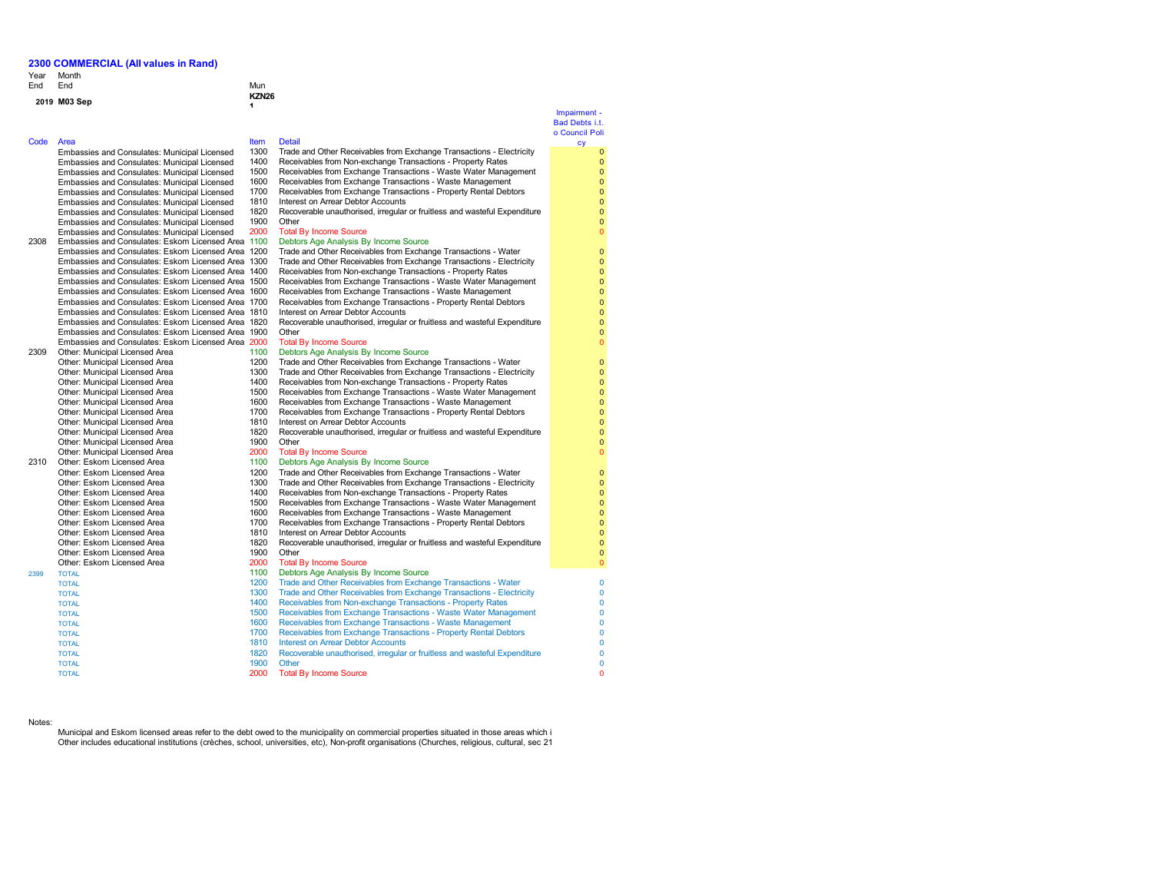Year Month End End End Mun

## **<sup>2019</sup> M03 Sep KZN26**

### Code Area **Item Detail**

Embassies and Consulates: Municipal Licensed Embassies and Consulates: Municipal Licensed Embassies and Consulates: Municipal Licensed Embassies and Consulates: Municipal Licensed Embassies and Consulates: Municipal Licensed Embassies and Consulates: Municipal Licensed Embassies and Consulates: Municipal Licensed Embassies and Consulates: Municipal Licensed Embassies and Consulates: Municipal Licensed 2308 Embassies and Consulates: Eskom Licensed Area 1100 Debtors Age Analysis By Income Source Embassies and Consulates: Eskom Licensed Area 120 Embassies and Consulates: Eskom Licensed Area 130 Embassies and Consulates: Eskom Licensed Area 140 Embassies and Consulates: Eskom Licensed Area 150 Embassies and Consulates: Eskom Licensed Area 160 Embassies and Consulates: Eskom Licensed Area 170 Embassies and Consulates: Eskom Licensed Area 181 Embassies and Consulates: Eskom Licensed Area 1820 Embassies and Consulates: Eskom Licensed Area 19 Embassies and Consulates: Eskom Licensed Area 200 2309 Other: Municipal Licensed Area 110<br>Other: Municipal Licensed Area 120 Other: Municipal Licensed Area 1200 1200 Trade and Other Receives from Exchange Transactions - Water Transactions - Water Transactions - Water Transactions - Water Transactions - Water Transactions - Water Transactions - W Other: Municipal Licensed Area 1300 Trade and Other Receives from Exchange Transactions - Electricity - Electricity - Electricity - Electricity - Electricity - Electricity - Electricity - Electricity - Electricity - Electr Other: Municipal Licensed Area 1400 Receives from Non-exchange Transactions - Property Rates and Area 1500 Receives 1500 Rates from Non-exchange Transactions - Property Rates from Non-exchange Transactions - Property Rates Other: Municipal Licensed Area 1500 Receives from Exchange Transactions - Waster Management - Waste Water Management Management of Management Area 1600 Receives from Management Management of Management Management Managemen Other: Municipal Licensed Area Other: Municipal Licensed Area 1700 Received Area 1700 Received Area 1700 Rental Debtors - Property Rental Debtors - Property Rental Debtors - Property Rental Debtors - Property Rental Debtors - Property Rental Debtors - P Other: Municipal Licensed Area Other: Municipal Licensed Area 1820<br>1820 Recoverable unauthorised, inclusive and wasteful Expenditure and wasteful Expenditure and wasteful Expenditure Other: Municipal Licensed Area 1900 Other: Municipal Licensed Area 1900 2000 2000 Other: Municipal Licensed Area Other: Municipal Licensed Area 2310 Other: Eskom Licensed Area 110<br>2120 Other: Eskom Licensed Area Other: Eskom Licensed Area 1200 1200 Trade and Other Receives from Exchange Transactions - Water Transactions - Water Transactions - Water Transactions - Water Transactions - Water Transactions - Water Transactions - Water Other: Eskom Licensed Area 1300 Trade and Other: Eskom Licensed Area 1400 Transactions - Electricity - Electricity - Electricity - Electricity - Electricity - Electricity - Electricity - Electricity - Electricity - Electri Other: Eskom Licensed Area 1400 Receives from Non-exchange Transactions - Property Rates - Property Rates - Property Rates from Non-exchange Transactions - Property Rates from Non-exchange Transactions - Property Rates - P Other: Eskom Licensed Area Other: Eskom Licensed Area 1600 Receives from Exchange Transactions - Waste Management - Waste Management Management Management Management of Management Management Management Management Management Management Management Man Other: Eskom Licensed Area 1700 Received Area 1700 Received Area 1700 Rental Debtors - Property Rental Debtors - Property Rental Debtors - Property Rental Debtors - Property Rental Debtors - Property Rental Debtors - Prope Other: Eskom Licensed Area 18<br>
Other: Eskom Licensed Area 1810 1810 Other: Eskom Licensed Area 1820<br>1820 Recoverable unauthorised, including unauthorised, including and wasteful Expenditure and wasteful Expenditure Other: Eskom Licensed Area Other: Eskom Licensed Area 2000 Total By Income Source Source Source Source Source Source Source Source Source 2399 TOTAL 1100 Debtors Age Analysis By Income Source TOTAL 1810 Interest on Arrear Debtor Accounts TOTAL 1820 Recoverable unauthorised, irregular or fruitless and wasteful Expenditure<br>TOTAL 1900 Other TOTAL **1900** Other

**1**

### Impairment - Bad Debts i.t. o Council Poli cy

1300 Trade and Other Receivables from Exchange Transactions - Electricity<br>1400 Receivables from Non-exchange Transactions - Property Rates

- 1400 Receivables from Non-exchange Transactions Property Rates
- 1500 Receivables from Exchange Transactions Waste Water Management<br>1600 Receivables from Exchange Transactions Waste Management 1600 Receivables from Exchange Transactions - Waste Management
- 1700 Receivables from Exchange Transactions Property Rental Debtors
- 1810 Interest on Arrear Debtor Accounts<br>1820 Recoverable unauthorised, irregular 1820 Recoverable unauthorised, irregular or fruitless and wasteful Expenditure
- 1900 Other<br>2000 Total I

# Total By Income Source<br>Debtors Age Analysis By Income Source

| Embassies and Consulates: Eskom Licensed Area 1200 |      | Trade and Other Receivables from Exchange Transactions - Water            |  |
|----------------------------------------------------|------|---------------------------------------------------------------------------|--|
| Embassies and Consulates: Eskom Licensed Area 1300 |      | Trade and Other Receivables from Exchange Transactions - Electricity      |  |
| Embassies and Consulates: Eskom Licensed Area 1400 |      | Receivables from Non-exchange Transactions - Property Rates               |  |
| Embassies and Consulates: Eskom Licensed Area 1500 |      | Receivables from Exchange Transactions - Waste Water Management           |  |
| Embassies and Consulates: Eskom Licensed Area 1600 |      | Receivables from Exchange Transactions - Waste Management                 |  |
| Embassies and Consulates: Eskom Licensed Area 1700 |      | Receivables from Exchange Transactions - Property Rental Debtors          |  |
| Embassies and Consulates: Eskom Licensed Area 1810 |      | Interest on Arrear Debtor Accounts                                        |  |
| Embassies and Consulates: Eskom Licensed Area 1820 |      | Recoverable unauthorised, irregular or fruitless and wasteful Expenditure |  |
| Embassies and Consulates: Eskom Licensed Area 1900 |      | Other                                                                     |  |
| Embassies and Consulates: Eskom Licensed Area 2000 |      | <b>Total By Income Source</b>                                             |  |
| Other: Municipal Licensed Area                     | 1100 | Debtors Age Analysis By Income Source                                     |  |
| Other: Municipal Licensed Area                     | 1200 | Trade and Other Receivables from Exchange Transactions - Water            |  |
| Other: Municipal Licensed Area                     | 1300 | Trade and Other Receivables from Exchange Transactions - Electricity      |  |
| Other: Municipal Licensed Area                     | 1400 | Receivables from Non-exchange Transactions - Property Rates               |  |
| Other: Municipal Licensed Area                     | 1500 | Receivables from Exchange Transactions - Waste Water Management           |  |
| Other: Municipal Licensed Area                     | 1600 | Receivables from Exchange Transactions - Waste Management                 |  |
| Other: Municipal Licensed Area                     | 1700 | Receivables from Exchange Transactions - Property Rental Debtors          |  |
| Other: Municipal Licensed Area                     | 1810 | Interest on Arrear Debtor Accounts                                        |  |
| Other: Municipal Licensed Area                     | 1820 | Recoverable unauthorised, irregular or fruitless and wasteful Expenditure |  |
| Other: Municipal Licensed Area                     | 1900 | Other                                                                     |  |
| Other: Municipal Licensed Area                     | 2000 | <b>Total By Income Source</b>                                             |  |
| Other: Eskom Licensed Area                         | 1100 | Debtors Age Analysis By Income Source                                     |  |
| Other: Eskom Licensed Area                         | 1200 | Trade and Other Receivables from Exchange Transactions - Water            |  |
| Other: Eskom Licensed Area                         | 1300 | Trade and Other Receivables from Exchange Transactions - Electricity      |  |
| Other: Eskom Licensed Area                         | 1400 | Receivables from Non-exchange Transactions - Property Rates               |  |
| Other: Eskom Licensed Area                         | 1500 | Receivables from Exchange Transactions - Waste Water Management           |  |
| Other: Eskom Licensed Area                         | 1600 | Receivables from Exchange Transactions - Waste Management                 |  |
| Other: Eskom Licensed Area                         | 1700 | Receivables from Exchange Transactions - Property Rental Debtors          |  |
| Other: Eskom Licensed Area                         | 1810 | Interest on Arrear Debtor Accounts                                        |  |
| Other: Eskom Licensed Area                         | 1820 | Recoverable unauthorised, irregular or fruitless and wasteful Expenditure |  |
| Other: Eskom Licensed Area                         | 1900 | Other                                                                     |  |
| Other: Eskom Licensed Area                         | 2000 | <b>Total By Income Source</b>                                             |  |
| <b>TOTAL</b>                                       | 1100 | Debtors Age Analysis By Income Source                                     |  |
| TOTAL                                              | 1200 | Trade and Other Receivables from Exchange Transactions - Water            |  |
| TOTAL                                              | 1300 | Trade and Other Receivables from Exchange Transactions - Electricity      |  |
| <b>TOTAL</b>                                       | 1400 | Receivables from Non-exchange Transactions - Property Rates               |  |
| TOTAL                                              | 1500 | Receivables from Exchange Transactions - Waste Water Management           |  |
| <b>TOTAL</b>                                       | 1600 | Receivables from Exchange Transactions - Waste Management                 |  |
| <b>TOTAL</b>                                       | 1700 | Receivables from Exchange Transactions - Property Rental Debtors          |  |
| TOTAL                                              | 1810 | Interest on Arrear Debtor Accounts                                        |  |

### Notes:

Municipal and Eskom licensed areas refer to the debt owed to the municipality on commercial properties situated in those areas which i Other includes educational institutions (crèches, school, universities, etc), Non-profit organisations (Churches, religious, cultural, sec 21

TOTAL 2000 Total By Income Source